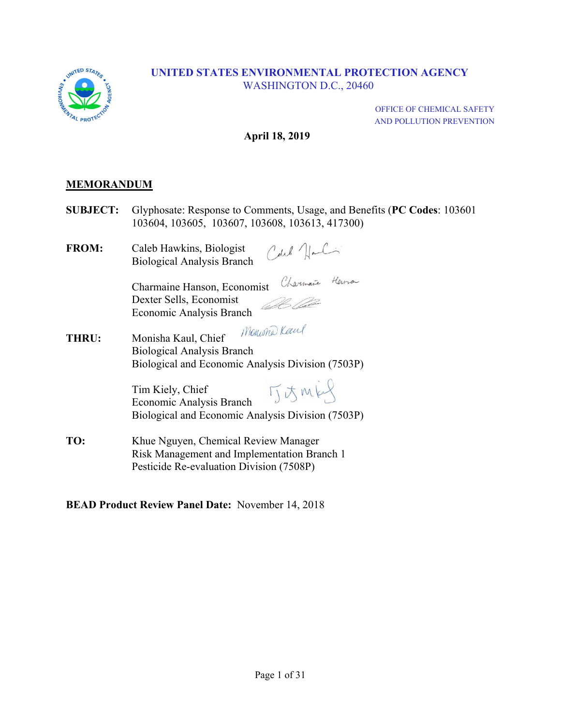

OFFICE OF CHEMICAL SAFETY AND POLLUTION PREVENTION

#### **April 18, 2019**

#### **MEMORANDUM**

- **SUBJECT:** Glyphosate: Response to Comments, Usage, and Benefits (**PC Codes**: 103601 103604, 103605, 103607, 103608, 103613, 417300)
- **FROM:** Caleb Hawkins, Biologist Biological Analysis Branch

Charmaine Hanson, Economist Dexter Sells, Economist 62 O Economic Analysis Branch

Moniona Keen **THRU:** Monisha Kaul, Chief Biological Analysis Branch Biological and Economic Analysis Division (7503P)

> TIJMES Tim Kiely, Chief Economic Analysis Branch Biological and Economic Analysis Division (7503P)

**TO:** Khue Nguyen, Chemical Review Manager Risk Management and Implementation Branch 1 Pesticide Re-evaluation Division (7508P)

#### **BEAD Product Review Panel Date:** November 14, 2018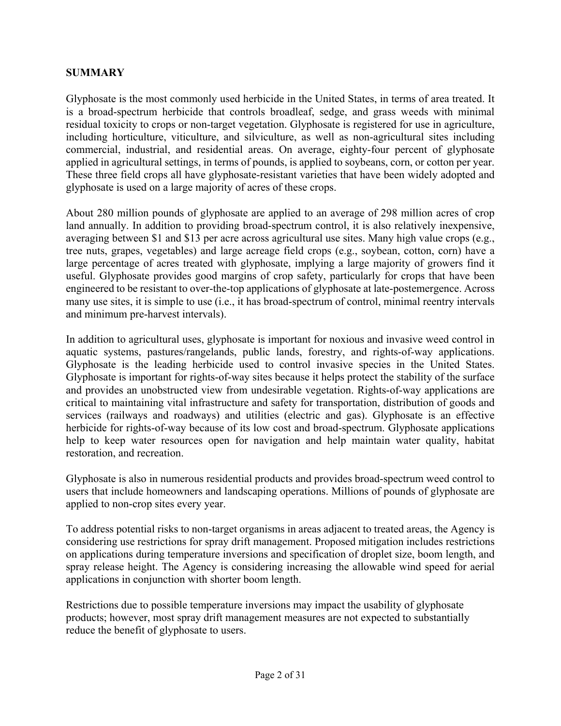#### **SUMMARY**

 residual toxicity to crops or non-target vegetation. Glyphosate is registered for use in agriculture, glyphosate is used on a large majority of acres of these crops. Glyphosate is the most commonly used herbicide in the United States, in terms of area treated. It is a broad-spectrum herbicide that controls broadleaf, sedge, and grass weeds with minimal including horticulture, viticulture, and silviculture, as well as non-agricultural sites including commercial, industrial, and residential areas. On average, eighty-four percent of glyphosate applied in agricultural settings, in terms of pounds, is applied to soybeans, corn, or cotton per year. These three field crops all have glyphosate-resistant varieties that have been widely adopted and

About 280 million pounds of glyphosate are applied to an average of 298 million acres of crop land annually. In addition to providing broad-spectrum control, it is also relatively inexpensive, averaging between \$1 and \$13 per acre across agricultural use sites. Many high value crops (e.g., tree nuts, grapes, vegetables) and large acreage field crops (e.g., soybean, cotton, corn) have a large percentage of acres treated with glyphosate, implying a large majority of growers find it useful. Glyphosate provides good margins of crop safety, particularly for crops that have been engineered to be resistant to over-the-top applications of glyphosate at late-postemergence. Across many use sites, it is simple to use (i.e., it has broad-spectrum of control, minimal reentry intervals and minimum pre-harvest intervals).

In addition to agricultural uses, glyphosate is important for noxious and invasive weed control in aquatic systems, pastures/rangelands, public lands, forestry, and rights-of-way applications. Glyphosate is the leading herbicide used to control invasive species in the United States. Glyphosate is important for rights-of-way sites because it helps protect the stability of the surface and provides an unobstructed view from undesirable vegetation. Rights-of-way applications are critical to maintaining vital infrastructure and safety for transportation, distribution of goods and services (railways and roadways) and utilities (electric and gas). Glyphosate is an effective herbicide for rights-of-way because of its low cost and broad-spectrum. Glyphosate applications help to keep water resources open for navigation and help maintain water quality, habitat restoration, and recreation.

Glyphosate is also in numerous residential products and provides broad-spectrum weed control to users that include homeowners and landscaping operations. Millions of pounds of glyphosate are applied to non-crop sites every year.

 spray release height. The Agency is considering increasing the allowable wind speed for aerial To address potential risks to non-target organisms in areas adjacent to treated areas, the Agency is considering use restrictions for spray drift management. Proposed mitigation includes restrictions on applications during temperature inversions and specification of droplet size, boom length, and applications in conjunction with shorter boom length.

Restrictions due to possible temperature inversions may impact the usability of glyphosate products; however, most spray drift management measures are not expected to substantially reduce the benefit of glyphosate to users.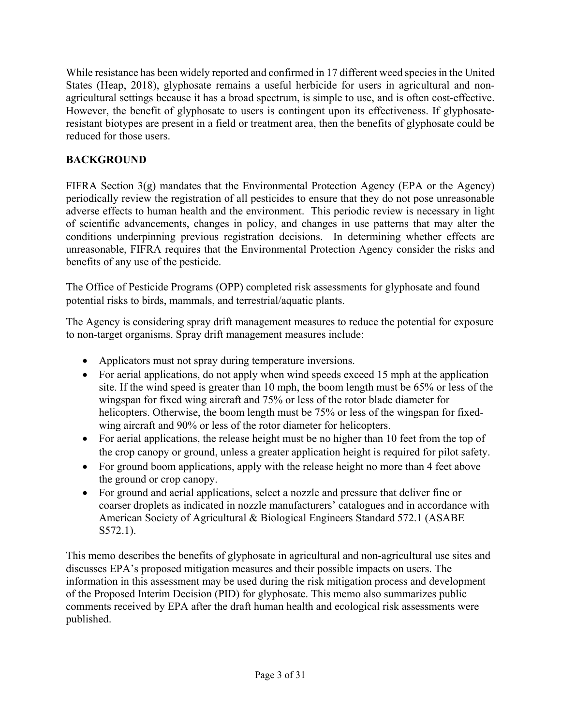While resistance has been widely reported and confirmed in 17 different weed species in the United agricultural settings because it has a broad spectrum, is simple to use, and is often cost-effective. resistant biotypes are present in a field or treatment area, then the benefits of glyphosate could be States (Heap, 2018), glyphosate remains a useful herbicide for users in agricultural and non-However, the benefit of glyphosate to users is contingent upon its effectiveness. If glyphosatereduced for those users.

# **BACKGROUND**

FIFRA Section  $3(g)$  mandates that the Environmental Protection Agency (EPA or the Agency) periodically review the registration of all pesticides to ensure that they do not pose unreasonable adverse effects to human health and the environment. This periodic review is necessary in light of scientific advancements, changes in policy, and changes in use patterns that may alter the conditions underpinning previous registration decisions. In determining whether effects are unreasonable, FIFRA requires that the Environmental Protection Agency consider the risks and benefits of any use of the pesticide.

The Office of Pesticide Programs (OPP) completed risk assessments for glyphosate and found potential risks to birds, mammals, and terrestrial/aquatic plants.

The Agency is considering spray drift management measures to reduce the potential for exposure to non-target organisms. Spray drift management measures include:

- Applicators must not spray during temperature inversions.
- For aerial applications, do not apply when wind speeds exceed 15 mph at the application site. If the wind speed is greater than 10 mph, the boom length must be 65% or less of the wingspan for fixed wing aircraft and 75% or less of the rotor blade diameter for helicopters. Otherwise, the boom length must be 75% or less of the wingspan for fixedwing aircraft and 90% or less of the rotor diameter for helicopters.
- For aerial applications, the release height must be no higher than 10 feet from the top of the crop canopy or ground, unless a greater application height is required for pilot safety.
- For ground boom applications, apply with the release height no more than 4 feet above the ground or crop canopy.
- For ground and aerial applications, select a nozzle and pressure that deliver fine or coarser droplets as indicated in nozzle manufacturers' catalogues and in accordance with American Society of Agricultural & Biological Engineers Standard 572.1 (ASABE S572.1).

This memo describes the benefits of glyphosate in agricultural and non-agricultural use sites and discusses EPA's proposed mitigation measures and their possible impacts on users. The information in this assessment may be used during the risk mitigation process and development of the Proposed Interim Decision (PID) for glyphosate. This memo also summarizes public comments received by EPA after the draft human health and ecological risk assessments were published.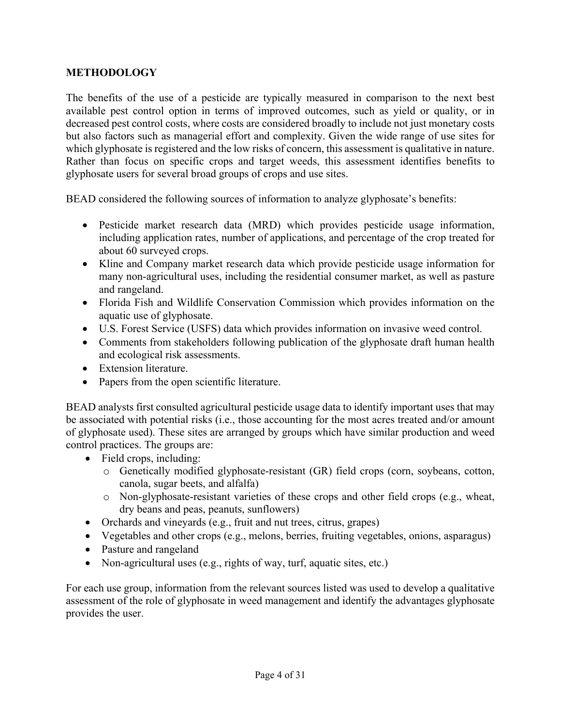#### **METHODOLOGY**

The benefits of the use of a pesticide are typically measured in comparison to the next best available pest control option in terms of improved outcomes, such as yield or quality, or in decreased pest control costs, where costs are considered broadly to include not just monetary costs but also factors such as managerial effort and complexity. Given the wide range of use sites for which glyphosate is registered and the low risks of concern, this assessment is qualitative in nature. Rather than focus on specific crops and target weeds, this assessment identifies benefits to glyphosate users for several broad groups of crops and use sites.

BEAD considered the following sources of information to analyze glyphosate's benefits:

- Pesticide market research data (MRD) which provides pesticide usage information, including application rates, number of applications, and percentage of the crop treated for about 60 surveyed crops.
- Kline and Company market research data which provide pesticide usage information for many non-agricultural uses, including the residential consumer market, as well as pasture and rangeland.
- Florida Fish and Wildlife Conservation Commission which provides information on the aquatic use of glyphosate.
- U.S. Forest Service (USFS) data which provides information on invasive weed control.
- Comments from stakeholders following publication of the glyphosate draft human health and ecological risk assessments.
- Extension literature.
- Papers from the open scientific literature.

BEAD analysts first consulted agricultural pesticide usage data to identify important uses that may be associated with potential risks (i.e., those accounting for the most acres treated and/or amount of glyphosate used). These sites are arranged by groups which have similar production and weed control practices. The groups are:

- Field crops, including:
	- o Genetically modified glyphosate-resistant (GR) field crops (corn, soybeans, cotton, canola, sugar beets, and alfalfa)
	- o Non-glyphosate-resistant varieties of these crops and other field crops (e.g., wheat, dry beans and peas, peanuts, sunflowers)
- Orchards and vineyards (e.g., fruit and nut trees, citrus, grapes)
- Vegetables and other crops (e.g., melons, berries, fruiting vegetables, onions, asparagus)
- Pasture and rangeland
- Non-agricultural uses (e.g., rights of way, turf, aquatic sites, etc.)

For each use group, information from the relevant sources listed was used to develop a qualitative assessment of the role of glyphosate in weed management and identify the advantages glyphosate provides the user.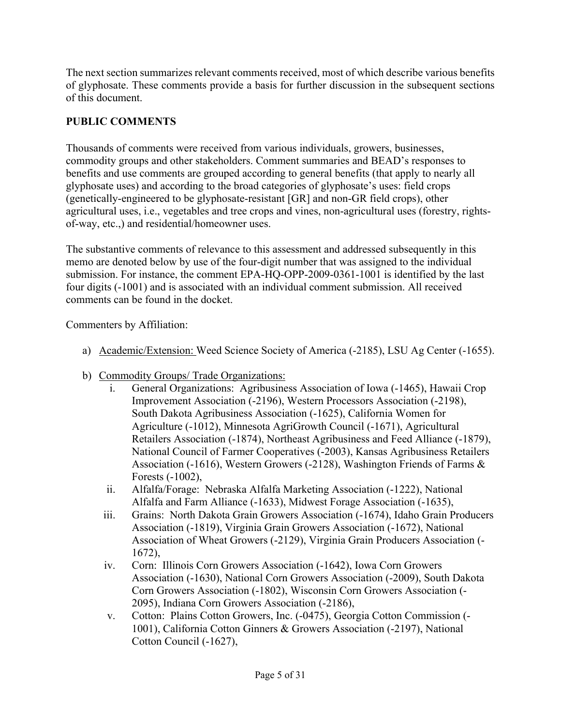The next section summarizes relevant comments received, most of which describe various benefits of glyphosate. These comments provide a basis for further discussion in the subsequent sections of this document.

# **PUBLIC COMMENTS**

Thousands of comments were received from various individuals, growers, businesses, commodity groups and other stakeholders. Comment summaries and BEAD's responses to benefits and use comments are grouped according to general benefits (that apply to nearly all glyphosate uses) and according to the broad categories of glyphosate's uses: field crops (genetically-engineered to be glyphosate-resistant [GR] and non-GR field crops), other agricultural uses, i.e., vegetables and tree crops and vines, non-agricultural uses (forestry, rightsof-way, etc.,) and residential/homeowner uses.

The substantive comments of relevance to this assessment and addressed subsequently in this memo are denoted below by use of the four-digit number that was assigned to the individual submission. For instance, the comment EPA-HQ-OPP-2009-0361-1001 is identified by the last four digits (-1001) and is associated with an individual comment submission. All received comments can be found in the docket.

Commenters by Affiliation:

- a) Academic/Extension: Weed Science Society of America (-2185), LSU Ag Center (-1655).
- b) Commodity Groups/ Trade Organizations:
	- i. General Organizations: Agribusiness Association of Iowa (-1465), Hawaii Crop Improvement Association (-2196), Western Processors Association (-2198), South Dakota Agribusiness Association (-1625), California Women for Agriculture (-1012), Minnesota AgriGrowth Council (-1671), Agricultural Retailers Association (-1874), Northeast Agribusiness and Feed Alliance (-1879), National Council of Farmer Cooperatives (-2003), Kansas Agribusiness Retailers Association (-1616), Western Growers (-2128), Washington Friends of Farms & Forests (-1002),
	- ii. Alfalfa/Forage: Nebraska Alfalfa Marketing Association (-1222), National Alfalfa and Farm Alliance (-1633), Midwest Forage Association (-1635),
	- iii. Grains: North Dakota Grain Growers Association (-1674), Idaho Grain Producers Association (-1819), Virginia Grain Growers Association (-1672), National Association of Wheat Growers (-2129), Virginia Grain Producers Association (- 1672),
	- iv. Corn: Illinois Corn Growers Association (-1642), Iowa Corn Growers Association (-1630), National Corn Growers Association (-2009), South Dakota Corn Growers Association (-1802), Wisconsin Corn Growers Association (- 2095), Indiana Corn Growers Association (-2186),
	- v. Cotton: Plains Cotton Growers, Inc. (-0475), Georgia Cotton Commission (- 1001), California Cotton Ginners & Growers Association (-2197), National Cotton Council (-1627),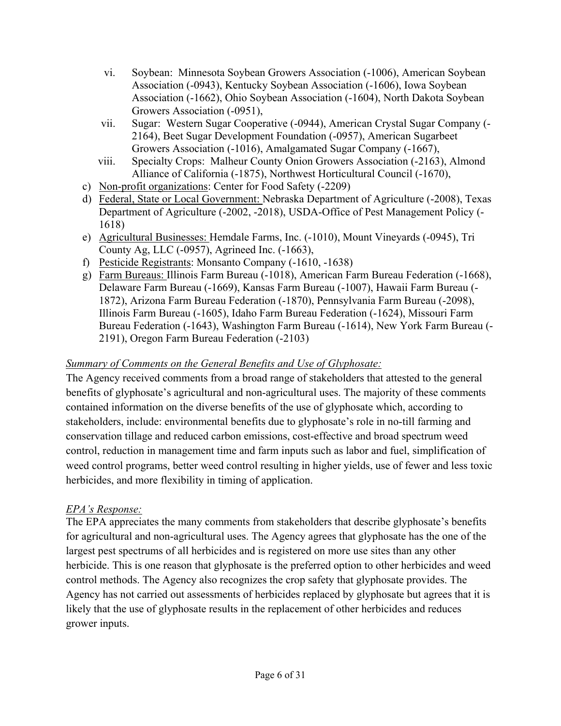- vi. Soybean: Minnesota Soybean Growers Association (-1006), American Soybean Association (-0943), Kentucky Soybean Association (-1606), Iowa Soybean Association (-1662), Ohio Soybean Association (-1604), North Dakota Soybean Growers Association (-0951),
- vii. Sugar: Western Sugar Cooperative (-0944), American Crystal Sugar Company (- 2164), Beet Sugar Development Foundation (-0957), American Sugarbeet Growers Association (-1016), Amalgamated Sugar Company (-1667),
- viii. Specialty Crops: Malheur County Onion Growers Association (-2163), Almond Alliance of California (-1875), Northwest Horticultural Council (-1670),
- c) Non-profit organizations: Center for Food Safety (-2209)
- d) Federal, State or Local Government: Nebraska Department of Agriculture (-2008), Texas Department of Agriculture (-2002, -2018), USDA-Office of Pest Management Policy (- 1618)
- e) Agricultural Businesses: Hemdale Farms, Inc. (-1010), Mount Vineyards (-0945), Tri County Ag, LLC (-0957), Agrineed Inc. (-1663),
- f) Pesticide Registrants: Monsanto Company (-1610, -1638)
- g) Farm Bureaus: Illinois Farm Bureau (-1018), American Farm Bureau Federation (-1668), Delaware Farm Bureau (-1669), Kansas Farm Bureau (-1007), Hawaii Farm Bureau (- 1872), Arizona Farm Bureau Federation (-1870), Pennsylvania Farm Bureau (-2098), Illinois Farm Bureau (-1605), Idaho Farm Bureau Federation (-1624), Missouri Farm Bureau Federation (-1643), Washington Farm Bureau (-1614), New York Farm Bureau (- 2191), Oregon Farm Bureau Federation (-2103)

## *Summary of Comments on the General Benefits and Use of Glyphosate:*

The Agency received comments from a broad range of stakeholders that attested to the general benefits of glyphosate's agricultural and non-agricultural uses. The majority of these comments contained information on the diverse benefits of the use of glyphosate which, according to stakeholders, include: environmental benefits due to glyphosate's role in no-till farming and conservation tillage and reduced carbon emissions, cost-effective and broad spectrum weed control, reduction in management time and farm inputs such as labor and fuel, simplification of weed control programs, better weed control resulting in higher yields, use of fewer and less toxic herbicides, and more flexibility in timing of application.

## *EPA's Response:*

The EPA appreciates the many comments from stakeholders that describe glyphosate's benefits for agricultural and non-agricultural uses. The Agency agrees that glyphosate has the one of the largest pest spectrums of all herbicides and is registered on more use sites than any other herbicide. This is one reason that glyphosate is the preferred option to other herbicides and weed control methods. The Agency also recognizes the crop safety that glyphosate provides. The Agency has not carried out assessments of herbicides replaced by glyphosate but agrees that it is likely that the use of glyphosate results in the replacement of other herbicides and reduces grower inputs.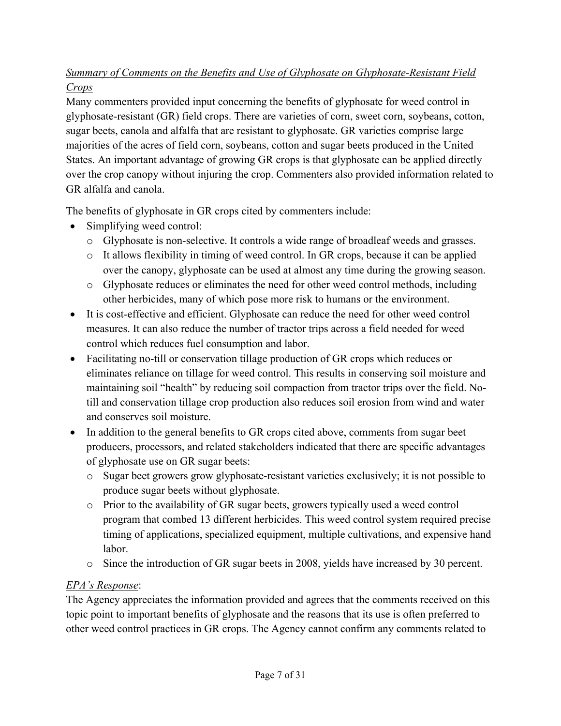# *Summary of Comments on the Benefits and Use of Glyphosate on Glyphosate-Resistant Field Crops*

Many commenters provided input concerning the benefits of glyphosate for weed control in glyphosate-resistant (GR) field crops. There are varieties of corn, sweet corn, soybeans, cotton, sugar beets, canola and alfalfa that are resistant to glyphosate. GR varieties comprise large majorities of the acres of field corn, soybeans, cotton and sugar beets produced in the United States. An important advantage of growing GR crops is that glyphosate can be applied directly over the crop canopy without injuring the crop. Commenters also provided information related to GR alfalfa and canola.

The benefits of glyphosate in GR crops cited by commenters include:

- Simplifying weed control:
	- o Glyphosate is non-selective. It controls a wide range of broadleaf weeds and grasses.
	- o It allows flexibility in timing of weed control. In GR crops, because it can be applied over the canopy, glyphosate can be used at almost any time during the growing season.
	- o Glyphosate reduces or eliminates the need for other weed control methods, including other herbicides, many of which pose more risk to humans or the environment.
- It is cost-effective and efficient. Glyphosate can reduce the need for other weed control measures. It can also reduce the number of tractor trips across a field needed for weed control which reduces fuel consumption and labor.
- Facilitating no-till or conservation tillage production of GR crops which reduces or eliminates reliance on tillage for weed control. This results in conserving soil moisture and maintaining soil "health" by reducing soil compaction from tractor trips over the field. Notill and conservation tillage crop production also reduces soil erosion from wind and water and conserves soil moisture.
- In addition to the general benefits to GR crops cited above, comments from sugar beet producers, processors, and related stakeholders indicated that there are specific advantages of glyphosate use on GR sugar beets:
	- o Sugar beet growers grow glyphosate-resistant varieties exclusively; it is not possible to produce sugar beets without glyphosate.
	- $\circ$  Prior to the availability of GR sugar beets, growers typically used a weed control program that combed 13 different herbicides. This weed control system required precise timing of applications, specialized equipment, multiple cultivations, and expensive hand labor.
	- o Since the introduction of GR sugar beets in 2008, yields have increased by 30 percent.

# *EPA's Response*:

The Agency appreciates the information provided and agrees that the comments received on this topic point to important benefits of glyphosate and the reasons that its use is often preferred to other weed control practices in GR crops. The Agency cannot confirm any comments related to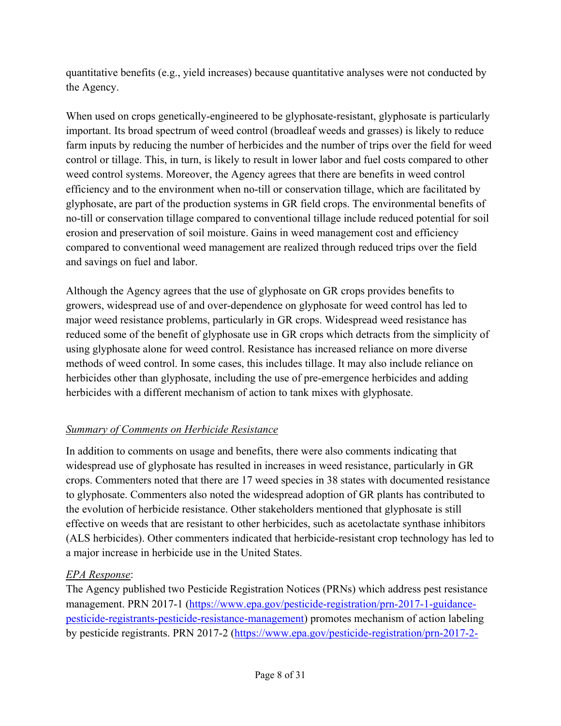quantitative benefits (e.g., yield increases) because quantitative analyses were not conducted by the Agency.

When used on crops genetically-engineered to be glyphosate-resistant, glyphosate is particularly important. Its broad spectrum of weed control (broadleaf weeds and grasses) is likely to reduce farm inputs by reducing the number of herbicides and the number of trips over the field for weed control or tillage. This, in turn, is likely to result in lower labor and fuel costs compared to other weed control systems. Moreover, the Agency agrees that there are benefits in weed control efficiency and to the environment when no-till or conservation tillage, which are facilitated by glyphosate, are part of the production systems in GR field crops. The environmental benefits of no-till or conservation tillage compared to conventional tillage include reduced potential for soil erosion and preservation of soil moisture. Gains in weed management cost and efficiency compared to conventional weed management are realized through reduced trips over the field and savings on fuel and labor.

Although the Agency agrees that the use of glyphosate on GR crops provides benefits to growers, widespread use of and over-dependence on glyphosate for weed control has led to major weed resistance problems, particularly in GR crops. Widespread weed resistance has reduced some of the benefit of glyphosate use in GR crops which detracts from the simplicity of using glyphosate alone for weed control. Resistance has increased reliance on more diverse methods of weed control. In some cases, this includes tillage. It may also include reliance on herbicides other than glyphosate, including the use of pre-emergence herbicides and adding herbicides with a different mechanism of action to tank mixes with glyphosate.

# *Summary of Comments on Herbicide Resistance*

In addition to comments on usage and benefits, there were also comments indicating that widespread use of glyphosate has resulted in increases in weed resistance, particularly in GR crops. Commenters noted that there are 17 weed species in 38 states with documented resistance to glyphosate. Commenters also noted the widespread adoption of GR plants has contributed to the evolution of herbicide resistance. Other stakeholders mentioned that glyphosate is still effective on weeds that are resistant to other herbicides, such as acetolactate synthase inhibitors (ALS herbicides). Other commenters indicated that herbicide-resistant crop technology has led to a major increase in herbicide use in the United States.

# *EPA Response*:

The Agency published two Pesticide Registration Notices (PRNs) which address pest resistance management. PRN 2017-1 (<https://www.epa.gov/pesticide-registration/prn-2017-1-guidance>pesticide-registrants-pesticide-resistance-management) promotes mechanism of action labeling by pesticide registrants. PRN 2017-2 [\(https://www.epa.gov/pesticide-registration/prn-2017-2-](https://www.epa.gov/pesticide-registration/prn-2017-2)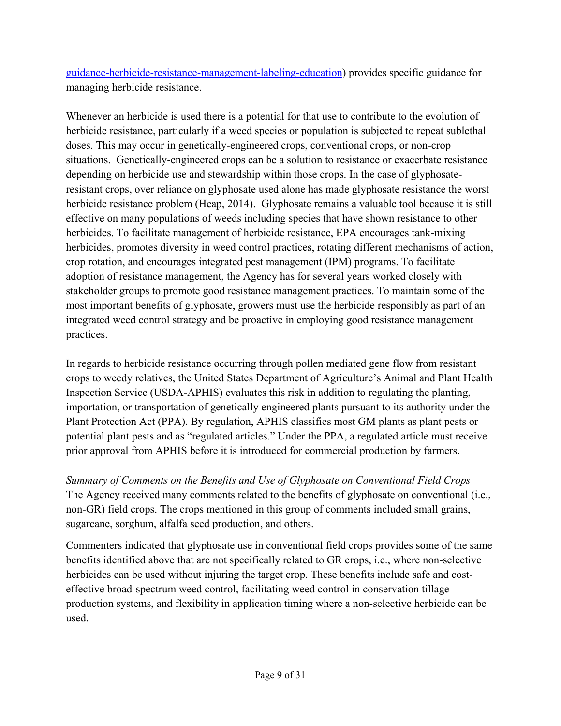guidance-herbicide-resistance-management-labeling-education) provides specific guidance for managing herbicide resistance.

Whenever an herbicide is used there is a potential for that use to contribute to the evolution of herbicide resistance, particularly if a weed species or population is subjected to repeat sublethal doses. This may occur in genetically-engineered crops, conventional crops, or non-crop situations. Genetically-engineered crops can be a solution to resistance or exacerbate resistance depending on herbicide use and stewardship within those crops. In the case of glyphosateresistant crops, over reliance on glyphosate used alone has made glyphosate resistance the worst herbicide resistance problem (Heap, 2014). Glyphosate remains a valuable tool because it is still effective on many populations of weeds including species that have shown resistance to other herbicides. To facilitate management of herbicide resistance, EPA encourages tank-mixing herbicides, promotes diversity in weed control practices, rotating different mechanisms of action, crop rotation, and encourages integrated pest management (IPM) programs. To facilitate adoption of resistance management, the Agency has for several years worked closely with stakeholder groups to promote good resistance management practices. To maintain some of the most important benefits of glyphosate, growers must use the herbicide responsibly as part of an integrated weed control strategy and be proactive in employing good resistance management practices.

In regards to herbicide resistance occurring through pollen mediated gene flow from resistant crops to weedy relatives, the United States Department of Agriculture's Animal and Plant Health Inspection Service (USDA-APHIS) evaluates this risk in addition to regulating the planting, importation, or transportation of genetically engineered plants pursuant to its authority under the Plant Protection Act (PPA). By regulation, APHIS classifies most GM plants as plant pests or potential plant pests and as "regulated articles." Under the PPA, a regulated article must receive prior approval from APHIS before it is introduced for commercial production by farmers.

# *Summary of Comments on the Benefits and Use of Glyphosate on Conventional Field Crops*

The Agency received many comments related to the benefits of glyphosate on conventional (i.e., non-GR) field crops. The crops mentioned in this group of comments included small grains, sugarcane, sorghum, alfalfa seed production, and others.

Commenters indicated that glyphosate use in conventional field crops provides some of the same benefits identified above that are not specifically related to GR crops, i.e., where non-selective herbicides can be used without injuring the target crop. These benefits include safe and costeffective broad-spectrum weed control, facilitating weed control in conservation tillage production systems, and flexibility in application timing where a non-selective herbicide can be used.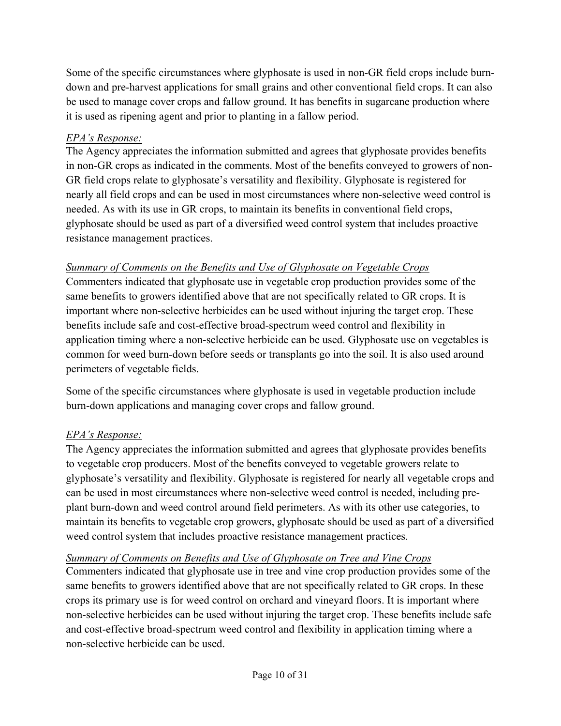Some of the specific circumstances where glyphosate is used in non-GR field crops include burndown and pre-harvest applications for small grains and other conventional field crops. It can also be used to manage cover crops and fallow ground. It has benefits in sugarcane production where it is used as ripening agent and prior to planting in a fallow period.

# *EPA's Response:*

The Agency appreciates the information submitted and agrees that glyphosate provides benefits in non-GR crops as indicated in the comments. Most of the benefits conveyed to growers of non-GR field crops relate to glyphosate's versatility and flexibility. Glyphosate is registered for nearly all field crops and can be used in most circumstances where non-selective weed control is needed. As with its use in GR crops, to maintain its benefits in conventional field crops, glyphosate should be used as part of a diversified weed control system that includes proactive resistance management practices.

# *Summary of Comments on the Benefits and Use of Glyphosate on Vegetable Crops*

Commenters indicated that glyphosate use in vegetable crop production provides some of the same benefits to growers identified above that are not specifically related to GR crops. It is important where non-selective herbicides can be used without injuring the target crop. These benefits include safe and cost-effective broad-spectrum weed control and flexibility in application timing where a non-selective herbicide can be used. Glyphosate use on vegetables is common for weed burn-down before seeds or transplants go into the soil. It is also used around perimeters of vegetable fields.

Some of the specific circumstances where glyphosate is used in vegetable production include burn-down applications and managing cover crops and fallow ground.

# *EPA's Response:*

The Agency appreciates the information submitted and agrees that glyphosate provides benefits to vegetable crop producers. Most of the benefits conveyed to vegetable growers relate to glyphosate's versatility and flexibility. Glyphosate is registered for nearly all vegetable crops and can be used in most circumstances where non-selective weed control is needed, including preplant burn-down and weed control around field perimeters. As with its other use categories, to maintain its benefits to vegetable crop growers, glyphosate should be used as part of a diversified weed control system that includes proactive resistance management practices.

# *Summary of Comments on Benefits and Use of Glyphosate on Tree and Vine Crops*

Commenters indicated that glyphosate use in tree and vine crop production provides some of the same benefits to growers identified above that are not specifically related to GR crops. In these crops its primary use is for weed control on orchard and vineyard floors. It is important where non-selective herbicides can be used without injuring the target crop. These benefits include safe and cost-effective broad-spectrum weed control and flexibility in application timing where a non-selective herbicide can be used.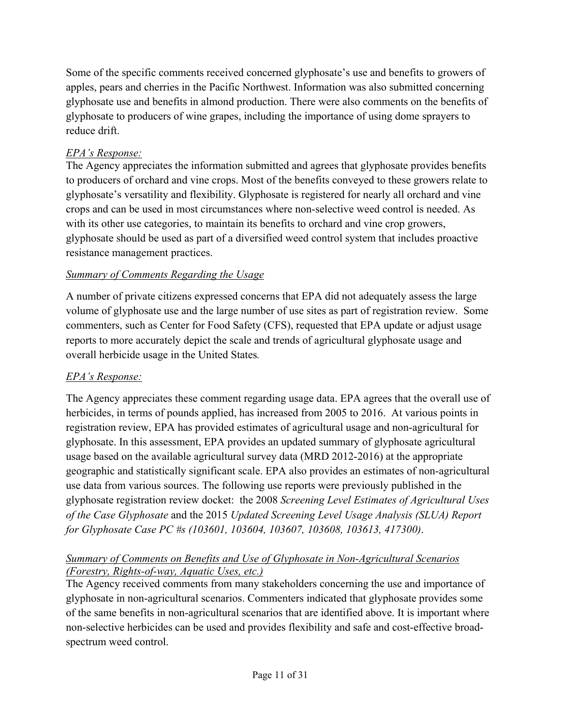Some of the specific comments received concerned glyphosate's use and benefits to growers of apples, pears and cherries in the Pacific Northwest. Information was also submitted concerning glyphosate use and benefits in almond production. There were also comments on the benefits of glyphosate to producers of wine grapes, including the importance of using dome sprayers to reduce drift.

## *EPA's Response:*

The Agency appreciates the information submitted and agrees that glyphosate provides benefits to producers of orchard and vine crops. Most of the benefits conveyed to these growers relate to glyphosate's versatility and flexibility. Glyphosate is registered for nearly all orchard and vine crops and can be used in most circumstances where non-selective weed control is needed. As with its other use categories, to maintain its benefits to orchard and vine crop growers, glyphosate should be used as part of a diversified weed control system that includes proactive resistance management practices.

## *Summary of Comments Regarding the Usage*

A number of private citizens expressed concerns that EPA did not adequately assess the large volume of glyphosate use and the large number of use sites as part of registration review. Some commenters, such as Center for Food Safety (CFS), requested that EPA update or adjust usage reports to more accurately depict the scale and trends of agricultural glyphosate usage and overall herbicide usage in the United States*.* 

# *EPA's Response:*

The Agency appreciates these comment regarding usage data. EPA agrees that the overall use of herbicides, in terms of pounds applied, has increased from 2005 to 2016. At various points in registration review, EPA has provided estimates of agricultural usage and non-agricultural for glyphosate. In this assessment, EPA provides an updated summary of glyphosate agricultural usage based on the available agricultural survey data (MRD 2012-2016) at the appropriate geographic and statistically significant scale. EPA also provides an estimates of non-agricultural use data from various sources. The following use reports were previously published in the glyphosate registration review docket: the 2008 *Screening Level Estimates of Agricultural Uses of the Case Glyphosate* and the 2015 *Updated Screening Level Usage Analysis (SLUA) Report for Glyphosate Case PC #s (103601, 103604, 103607, 103608, 103613, 417300)*.

## *Summary of Comments on Benefits and Use of Glyphosate in Non-Agricultural Scenarios (Forestry, Rights-of-way, Aquatic Uses, etc.)*

The Agency received comments from many stakeholders concerning the use and importance of glyphosate in non-agricultural scenarios. Commenters indicated that glyphosate provides some of the same benefits in non-agricultural scenarios that are identified above. It is important where non-selective herbicides can be used and provides flexibility and safe and cost-effective broadspectrum weed control.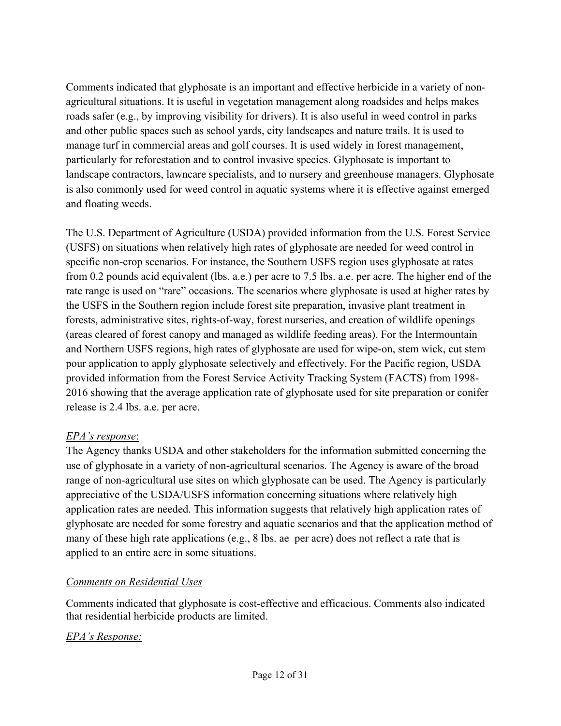Comments indicated that glyphosate is an important and effective herbicide in a variety of nonagricultural situations. It is useful in vegetation management along roadsides and helps makes roads safer (e.g., by improving visibility for drivers). It is also useful in weed control in parks and other public spaces such as school yards, city landscapes and nature trails. It is used to manage turf in commercial areas and golf courses. It is used widely in forest management, particularly for reforestation and to control invasive species. Glyphosate is important to landscape contractors, lawncare specialists, and to nursery and greenhouse managers. Glyphosate is also commonly used for weed control in aquatic systems where it is effective against emerged and floating weeds.

The U.S. Department of Agriculture (USDA) provided information from the U.S. Forest Service (USFS) on situations when relatively high rates of glyphosate are needed for weed control in specific non-crop scenarios. For instance, the Southern USFS region uses glyphosate at rates from 0.2 pounds acid equivalent (lbs. a.e.) per acre to 7.5 lbs. a.e. per acre. The higher end of the rate range is used on "rare" occasions. The scenarios where glyphosate is used at higher rates by the USFS in the Southern region include forest site preparation, invasive plant treatment in forests, administrative sites, rights-of-way, forest nurseries, and creation of wildlife openings (areas cleared of forest canopy and managed as wildlife feeding areas). For the Intermountain and Northern USFS regions, high rates of glyphosate are used for wipe-on, stem wick, cut stem pour application to apply glyphosate selectively and effectively. For the Pacific region, USDA provided information from the Forest Service Activity Tracking System (FACTS) from 1998- 2016 showing that the average application rate of glyphosate used for site preparation or conifer release is 2.4 lbs. a.e. per acre.

## *EPA's response*:

The Agency thanks USDA and other stakeholders for the information submitted concerning the use of glyphosate in a variety of non-agricultural scenarios. The Agency is aware of the broad range of non-agricultural use sites on which glyphosate can be used. The Agency is particularly appreciative of the USDA/USFS information concerning situations where relatively high application rates are needed. This information suggests that relatively high application rates of glyphosate are needed for some forestry and aquatic scenarios and that the application method of many of these high rate applications (e.g., 8 lbs. ae per acre) does not reflect a rate that is applied to an entire acre in some situations.

#### *Comments on Residential Uses*

Comments indicated that glyphosate is cost-effective and efficacious. Comments also indicated that residential herbicide products are limited.

## *EPA's Response:*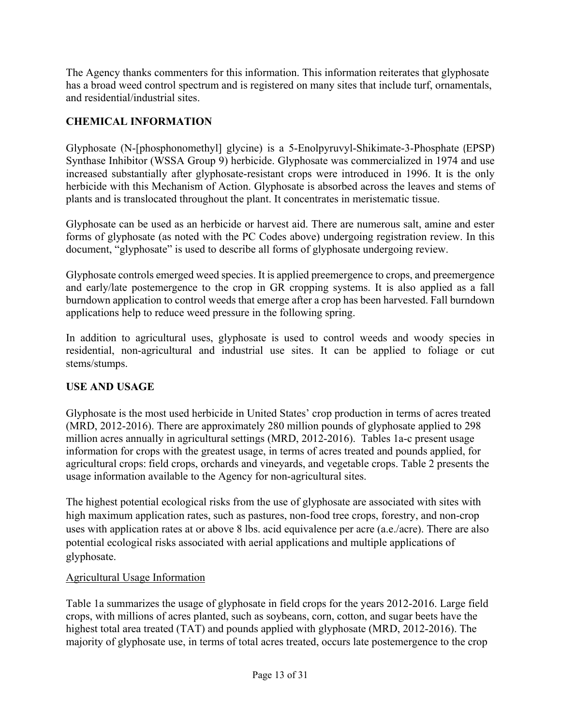The Agency thanks commenters for this information. This information reiterates that glyphosate has a broad weed control spectrum and is registered on many sites that include turf, ornamentals, and residential/industrial sites.

# **CHEMICAL INFORMATION**

 herbicide with this Mechanism of Action. Glyphosate is absorbed across the leaves and stems of Glyphosate (N-[phosphonomethyl] glycine) is a 5-Enolpyruvyl-Shikimate-3-Phosphate (EPSP) Synthase Inhibitor (WSSA Group 9) herbicide. Glyphosate was commercialized in 1974 and use increased substantially after glyphosate-resistant crops were introduced in 1996. It is the only plants and is translocated throughout the plant. It concentrates in meristematic tissue.

Glyphosate can be used as an herbicide or harvest aid. There are numerous salt, amine and ester forms of glyphosate (as noted with the PC Codes above) undergoing registration review. In this document, "glyphosate" is used to describe all forms of glyphosate undergoing review.

 and early/late postemergence to the crop in GR cropping systems. It is also applied as a fall Glyphosate controls emerged weed species. It is applied preemergence to crops, and preemergence burndown application to control weeds that emerge after a crop has been harvested. Fall burndown applications help to reduce weed pressure in the following spring.

In addition to agricultural uses, glyphosate is used to control weeds and woody species in residential, non-agricultural and industrial use sites. It can be applied to foliage or cut stems/stumps.

# **USE AND USAGE**

Glyphosate is the most used herbicide in United States' crop production in terms of acres treated (MRD, 2012-2016). There are approximately 280 million pounds of glyphosate applied to 298 million acres annually in agricultural settings (MRD, 2012-2016). Tables 1a-c present usage information for crops with the greatest usage, in terms of acres treated and pounds applied, for agricultural crops: field crops, orchards and vineyards, and vegetable crops. Table 2 presents the usage information available to the Agency for non-agricultural sites.

 potential ecological risks associated with aerial applications and multiple applications of The highest potential ecological risks from the use of glyphosate are associated with sites with high maximum application rates, such as pastures, non-food tree crops, forestry, and non-crop uses with application rates at or above 8 lbs. acid equivalence per acre (a.e./acre). There are also glyphosate.

## Agricultural Usage Information

Table 1a summarizes the usage of glyphosate in field crops for the years 2012-2016. Large field crops, with millions of acres planted, such as soybeans, corn, cotton, and sugar beets have the highest total area treated (TAT) and pounds applied with glyphosate (MRD, 2012-2016). The majority of glyphosate use, in terms of total acres treated, occurs late postemergence to the crop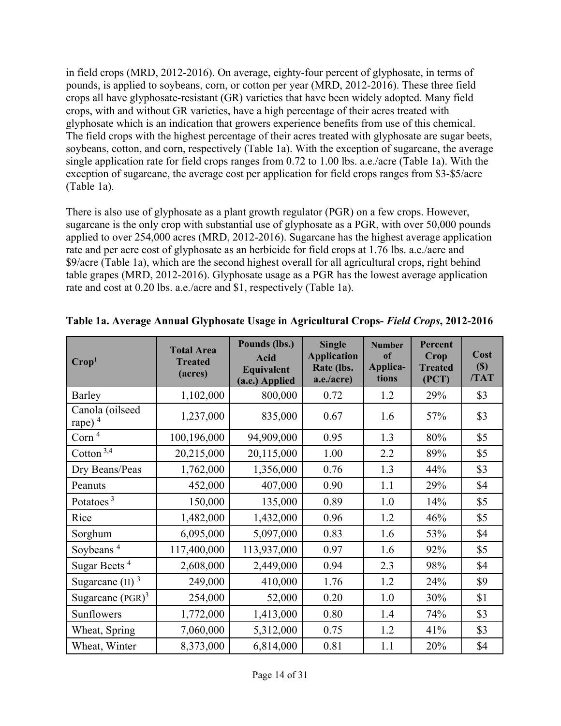in field crops (MRD, 2012-2016). On average, eighty-four percent of glyphosate, in terms of pounds, is applied to soybeans, corn, or cotton per year (MRD, 2012-2016). These three field crops all have glyphosate-resistant (GR) varieties that have been widely adopted. Many field crops, with and without GR varieties, have a high percentage of their acres treated with glyphosate which is an indication that growers experience benefits from use of this chemical. The field crops with the highest percentage of their acres treated with glyphosate are sugar beets, soybeans, cotton, and corn, respectively (Table 1a). With the exception of sugarcane, the average single application rate for field crops ranges from 0.72 to 1.00 lbs. a.e./acre (Table 1a). With the exception of sugarcane, the average cost per application for field crops ranges from \$3-\$5/acre (Table 1a).

There is also use of glyphosate as a plant growth regulator (PGR) on a few crops. However, sugarcane is the only crop with substantial use of glyphosate as a PGR, with over 50,000 pounds applied to over 254,000 acres (MRD, 2012-2016). Sugarcane has the highest average application rate and per acre cost of glyphosate as an herbicide for field crops at 1.76 lbs. a.e./acre and \$9/acre (Table 1a), which are the second highest overall for all agricultural crops, right behind table grapes (MRD, 2012-2016). Glyphosate usage as a PGR has the lowest average application rate and cost at 0.20 lbs. a.e./acre and \$1, respectively (Table 1a).

| Crop <sup>1</sup>            | <b>Total Area</b><br><b>Treated</b><br>(acres) | Pounds (lbs.)<br><b>Acid</b><br>Equivalent<br>(a.e.) Applied | <b>Single</b><br><b>Application</b><br>Rate (lbs.<br>a.e./acre) | <b>Number</b><br>of<br>Applica-<br>tions | <b>Percent</b><br>Crop<br><b>Treated</b><br>(PCT) | Cost<br>$(\$)$<br>/TAT |
|------------------------------|------------------------------------------------|--------------------------------------------------------------|-----------------------------------------------------------------|------------------------------------------|---------------------------------------------------|------------------------|
| Barley                       | 1,102,000                                      | 800,000                                                      | 0.72                                                            | 1.2                                      | 29%                                               | \$3                    |
| Canola (oilseed<br>rape) $4$ | 1,237,000                                      | 835,000                                                      | 0.67                                                            | 1.6                                      | 57%                                               | \$3                    |
| Corn $4$                     | 100,196,000                                    | 94,909,000                                                   | 0.95                                                            | 1.3                                      | 80%                                               | \$5                    |
| Cotton $3,4$                 | 20,215,000                                     | 20,115,000                                                   | 1.00                                                            | 2.2                                      | 89%                                               | \$5                    |
| Dry Beans/Peas               | 1,762,000                                      | 1,356,000                                                    | 0.76                                                            | 1.3                                      | 44%                                               | \$3                    |
| Peanuts                      | 452,000                                        | 407,000                                                      | 0.90                                                            | 1.1                                      | 29%                                               | \$4                    |
| Potatoes <sup>3</sup>        | 150,000                                        | 135,000                                                      | 0.89                                                            | 1.0                                      | 14%                                               | \$5                    |
| Rice                         | 1,482,000                                      | 1,432,000                                                    | 0.96                                                            | 1.2                                      | 46%                                               | \$5                    |
| Sorghum                      | 6,095,000                                      | 5,097,000                                                    | 0.83                                                            | 1.6                                      | 53%                                               | \$4                    |
| Soybeans <sup>4</sup>        | 117,400,000                                    | 113,937,000                                                  | 0.97                                                            | 1.6                                      | 92%                                               | \$5                    |
| Sugar Beets <sup>4</sup>     | 2,608,000                                      | 2,449,000                                                    | 0.94                                                            | 2.3                                      | 98%                                               | \$4                    |
| Sugarcane $(H)$ <sup>3</sup> | 249,000                                        | 410,000                                                      | 1.76                                                            | 1.2                                      | 24%                                               | \$9                    |
| Sugarcane $(PGR)^3$          | 254,000                                        | 52,000                                                       | 0.20                                                            | 1.0                                      | 30%                                               | \$1                    |
| Sunflowers                   | 1,772,000                                      | 1,413,000                                                    | 0.80                                                            | 1.4                                      | 74%                                               | \$3                    |
| Wheat, Spring                | 7,060,000                                      | 5,312,000                                                    | 0.75                                                            | 1.2                                      | 41%                                               | \$3                    |
| Wheat, Winter                | 8,373,000                                      | 6,814,000                                                    | 0.81                                                            | 1.1                                      | 20%                                               | \$4                    |

**Table 1a. Average Annual Glyphosate Usage in Agricultural Crops-** *Field Crops***, 2012-2016**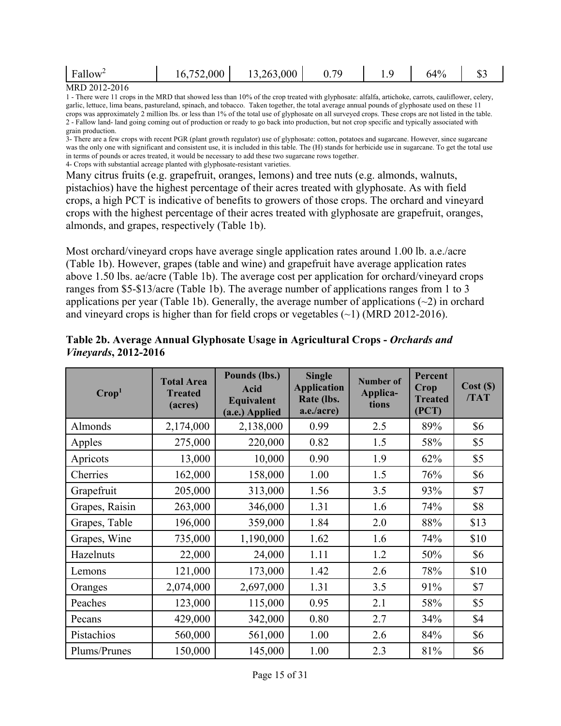| $\mathbf r$<br>$.$ Fallow <sup><math>\sim</math></sup> | .000 | 13,263,000 | 70<br>՝ | <b></b> | 40,<br>'Ω | ັບ~ |
|--------------------------------------------------------|------|------------|---------|---------|-----------|-----|
| 1.5552012222                                           |      |            |         |         |           |     |

#### MRD 2012-2016

 1 - There were 11 crops in the MRD that showed less than 10% of the crop treated with glyphosate: alfalfa, artichoke, carrots, cauliflower, celery, garlic, lettuce, lima beans, pastureland, spinach, and tobacco. Taken together, the total average annual pounds of glyphosate used on these 11 2 - Fallow land- land going coming out of production or ready to go back into production, but not crop specific and typically associated with grain production. crops was approximately 2 million lbs. or less than 1% of the total use of glyphosate on all surveyed crops. These crops are not listed in the table.

 3- There are a few crops with recent PGR (plant growth regulator) use of glyphosate: cotton, potatoes and sugarcane. However, since sugarcane was the only one with significant and consistent use, it is included in this table. The (H) stands for herbicide use in sugarcane. To get the total use in terms of pounds or acres treated, it would be necessary to add these two sugarcane rows together. 4- Crops with substantial acreage planted with glyphosate-resistant varieties.

Many citrus fruits (e.g. grapefruit, oranges, lemons) and tree nuts (e.g. almonds, walnuts, pistachios) have the highest percentage of their acres treated with glyphosate. As with field crops, a high PCT is indicative of benefits to growers of those crops. The orchard and vineyard crops with the highest percentage of their acres treated with glyphosate are grapefruit, oranges, almonds, and grapes, respectively (Table 1b).

Most orchard/vineyard crops have average single application rates around 1.00 lb. a.e./acre (Table 1b). However, grapes (table and wine) and grapefruit have average application rates above 1.50 lbs. ae/acre (Table 1b). The average cost per application for orchard/vineyard crops ranges from \$5-\$13/acre (Table 1b). The average number of applications ranges from 1 to 3 applications per year (Table 1b). Generally, the average number of applications  $(\sim 2)$  in orchard and vineyard crops is higher than for field crops or vegetables  $(\sim)$  (MRD 2012-2016).

| $\mathrm{Crop}^1$ | <b>Total Area</b><br><b>Treated</b><br>(acres) | Pounds (lbs.)<br><b>Acid</b><br>Equivalent<br>(a.e.) Applied | <b>Single</b><br><b>Application</b><br>Rate (lbs.<br>a.e./acre) | Number of<br>Applica-<br>tions | Percent<br>Crop<br><b>Treated</b><br>(PCT) | Cost(S)<br>/TAT |
|-------------------|------------------------------------------------|--------------------------------------------------------------|-----------------------------------------------------------------|--------------------------------|--------------------------------------------|-----------------|
| Almonds           | 2,174,000                                      | 2,138,000                                                    | 0.99                                                            | 2.5                            | 89%                                        | \$6             |
| Apples            | 275,000                                        | 220,000                                                      | 0.82                                                            | 1.5                            | 58%                                        | \$5             |
| Apricots          | 13,000                                         | 10,000                                                       | 0.90                                                            | 1.9                            | 62%                                        | \$5             |
| Cherries          | 162,000                                        | 158,000                                                      | 1.00                                                            | 1.5                            | 76%                                        | \$6             |
| Grapefruit        | 205,000                                        | 313,000                                                      | 1.56                                                            | 3.5                            | 93%                                        | \$7             |
| Grapes, Raisin    | 263,000                                        | 346,000                                                      | 1.31                                                            | 1.6                            | 74%                                        | \$8             |
| Grapes, Table     | 196,000                                        | 359,000                                                      | 1.84                                                            | 2.0                            | 88%                                        | \$13            |
| Grapes, Wine      | 735,000                                        | 1,190,000                                                    | 1.62                                                            | 1.6                            | 74%                                        | \$10            |
| Hazelnuts         | 22,000                                         | 24,000                                                       | 1.11                                                            | 1.2                            | 50%                                        | \$6             |
| Lemons            | 121,000                                        | 173,000                                                      | 1.42                                                            | 2.6                            | 78%                                        | \$10            |
| Oranges           | 2,074,000                                      | 2,697,000                                                    | 1.31                                                            | 3.5                            | 91%                                        | \$7             |
| Peaches           | 123,000                                        | 115,000                                                      | 0.95                                                            | 2.1                            | 58%                                        | \$5             |
| Pecans            | 429,000                                        | 342,000                                                      | 0.80                                                            | 2.7                            | 34%                                        | \$4             |
| Pistachios        | 560,000                                        | 561,000                                                      | 1.00                                                            | 2.6                            | 84%                                        | \$6             |
| Plums/Prunes      | 150,000                                        | 145,000                                                      | 1.00                                                            | 2.3                            | 81%                                        | \$6             |

#### **Table 2b. Average Annual Glyphosate Usage in Agricultural Crops -** *Orchards and Vineyards***, 2012-2016**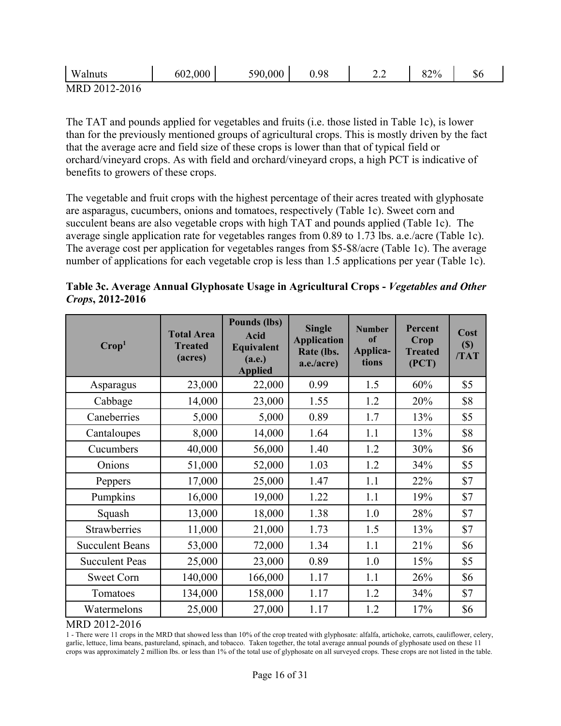| $-$<br>Walnuts                                             | 602,000 | .000<br>590 | 0.98 | $\overline{\phantom{a}}$<br><u>_. _</u> | $2\%$<br>∕ ∠0 | ΦU |
|------------------------------------------------------------|---------|-------------|------|-----------------------------------------|---------------|----|
| $\cdot$ , $\gamma$ 01.1<br><b>MRD</b><br>$2 - 7111$ m<br>. |         |             |      |                                         |               |    |

MRD 2012-2016

The TAT and pounds applied for vegetables and fruits (i.e. those listed in Table 1c), is lower than for the previously mentioned groups of agricultural crops. This is mostly driven by the fact that the average acre and field size of these crops is lower than that of typical field or orchard/vineyard crops. As with field and orchard/vineyard crops, a high PCT is indicative of benefits to growers of these crops.

The vegetable and fruit crops with the highest percentage of their acres treated with glyphosate are asparagus, cucumbers, onions and tomatoes, respectively (Table 1c). Sweet corn and succulent beans are also vegetable crops with high TAT and pounds applied (Table 1c). The average single application rate for vegetables ranges from 0.89 to 1.73 lbs. a.e./acre (Table 1c). The average cost per application for vegetables ranges from \$5-\$8/acre (Table 1c). The average number of applications for each vegetable crop is less than 1.5 applications per year (Table 1c).

|                          |  | Table 3c. Average Annual Glyphosate Usage in Agricultural Crops - Vegetables and Other |  |
|--------------------------|--|----------------------------------------------------------------------------------------|--|
| <i>Crops</i> , 2012-2016 |  |                                                                                        |  |

| $\bf{Crop}^1$          | <b>Total Area</b><br><b>Treated</b><br>(acres) | <b>Pounds (lbs)</b><br>Acid<br>Equivalent<br>(a.e.)<br><b>Applied</b> | <b>Single</b><br><b>Application</b><br>Rate (lbs.<br>a.e./acre) | <b>Number</b><br>of<br>Applica-<br>tions | <b>Percent</b><br>Crop<br><b>Treated</b><br>(PCT) | Cost<br>$(\$)$<br>/TAT |
|------------------------|------------------------------------------------|-----------------------------------------------------------------------|-----------------------------------------------------------------|------------------------------------------|---------------------------------------------------|------------------------|
| Asparagus              | 23,000                                         | 22,000                                                                | 0.99                                                            | 1.5                                      | 60%                                               | \$5                    |
| Cabbage                | 14,000                                         | 23,000                                                                | 1.55                                                            | 1.2                                      | 20%                                               | \$8                    |
| Caneberries            | 5,000                                          | 5,000                                                                 | 0.89                                                            | 1.7                                      | 13%                                               | \$5                    |
| Cantaloupes            | 8,000                                          | 14,000                                                                | 1.64                                                            | 1.1                                      | 13%                                               | \$8                    |
| Cucumbers              | 40,000                                         | 56,000                                                                | 1.40                                                            | 1.2                                      | 30%                                               | \$6                    |
| Onions                 | 51,000                                         | 52,000                                                                | 1.03                                                            | 1.2                                      | 34%                                               | \$5                    |
| Peppers                | 17,000                                         | 25,000                                                                | 1.47                                                            | 1.1                                      | 22%                                               | \$7                    |
| Pumpkins               | 16,000                                         | 19,000                                                                | 1.22                                                            | 1.1                                      | 19%                                               | \$7                    |
| Squash                 | 13,000                                         | 18,000                                                                | 1.38                                                            | 1.0                                      | 28%                                               | \$7                    |
| Strawberries           | 11,000                                         | 21,000                                                                | 1.73                                                            | 1.5                                      | 13%                                               | \$7                    |
| <b>Succulent Beans</b> | 53,000                                         | 72,000                                                                | 1.34                                                            | 1.1                                      | 21%                                               | \$6                    |
| <b>Succulent Peas</b>  | 25,000                                         | 23,000                                                                | 0.89                                                            | 1.0                                      | 15%                                               | \$5                    |
| <b>Sweet Corn</b>      | 140,000                                        | 166,000                                                               | 1.17                                                            | 1.1                                      | 26%                                               | \$6                    |
| Tomatoes               | 134,000                                        | 158,000                                                               | 1.17                                                            | 1.2                                      | 34%                                               | \$7                    |
| Watermelons            | 25,000                                         | 27,000                                                                | 1.17                                                            | 1.2                                      | 17%                                               | \$6                    |

#### MRD 2012-2016

 1 - There were 11 crops in the MRD that showed less than 10% of the crop treated with glyphosate: alfalfa, artichoke, carrots, cauliflower, celery, garlic, lettuce, lima beans, pastureland, spinach, and tobacco. Taken together, the total average annual pounds of glyphosate used on these 11 crops was approximately 2 million lbs. or less than 1% of the total use of glyphosate on all surveyed crops. These crops are not listed in the table.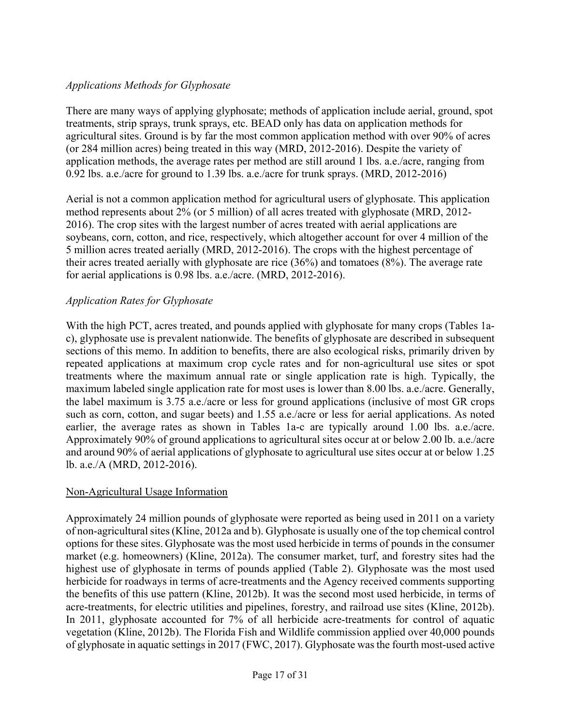#### *Applications Methods for Glyphosate*

There are many ways of applying glyphosate; methods of application include aerial, ground, spot treatments, strip sprays, trunk sprays, etc. BEAD only has data on application methods for agricultural sites. Ground is by far the most common application method with over 90% of acres (or 284 million acres) being treated in this way (MRD, 2012-2016). Despite the variety of application methods, the average rates per method are still around 1 lbs. a.e./acre, ranging from 0.92 lbs. a.e./acre for ground to 1.39 lbs. a.e./acre for trunk sprays. (MRD, 2012-2016)

Aerial is not a common application method for agricultural users of glyphosate. This application method represents about 2% (or 5 million) of all acres treated with glyphosate (MRD, 2012- 2016). The crop sites with the largest number of acres treated with aerial applications are soybeans, corn, cotton, and rice, respectively, which altogether account for over 4 million of the 5 million acres treated aerially (MRD, 2012-2016). The crops with the highest percentage of their acres treated aerially with glyphosate are rice (36%) and tomatoes (8%). The average rate for aerial applications is 0.98 lbs. a.e./acre. (MRD, 2012-2016).

#### *Application Rates for Glyphosate*

 sections of this memo. In addition to benefits, there are also ecological risks, primarily driven by With the high PCT, acres treated, and pounds applied with glyphosate for many crops (Tables 1ac), glyphosate use is prevalent nationwide. The benefits of glyphosate are described in subsequent repeated applications at maximum crop cycle rates and for non-agricultural use sites or spot treatments where the maximum annual rate or single application rate is high. Typically, the maximum labeled single application rate for most uses is lower than 8.00 lbs. a.e./acre. Generally, the label maximum is 3.75 a.e./acre or less for ground applications (inclusive of most GR crops such as corn, cotton, and sugar beets) and 1.55 a.e./acre or less for aerial applications. As noted earlier, the average rates as shown in Tables 1a-c are typically around 1.00 lbs. a.e./acre. Approximately 90% of ground applications to agricultural sites occur at or below 2.00 lb. a.e./acre and around 90% of aerial applications of glyphosate to agricultural use sites occur at or below 1.25 lb. a.e./A (MRD, 2012-2016).

#### Non-Agricultural Usage Information

 of non-agricultural sites (Kline, 2012a and b). Glyphosate is usually one of the top chemical control Approximately 24 million pounds of glyphosate were reported as being used in 2011 on a variety options for these sites. Glyphosate was the most used herbicide in terms of pounds in the consumer market (e.g. homeowners) (Kline, 2012a). The consumer market, turf, and forestry sites had the highest use of glyphosate in terms of pounds applied (Table 2). Glyphosate was the most used herbicide for roadways in terms of acre-treatments and the Agency received comments supporting the benefits of this use pattern (Kline, 2012b). It was the second most used herbicide, in terms of acre-treatments, for electric utilities and pipelines, forestry, and railroad use sites (Kline, 2012b). In 2011, glyphosate accounted for 7% of all herbicide acre-treatments for control of aquatic vegetation (Kline, 2012b). The Florida Fish and Wildlife commission applied over 40,000 pounds of glyphosate in aquatic settings in 2017 (FWC, 2017). Glyphosate was the fourth most-used active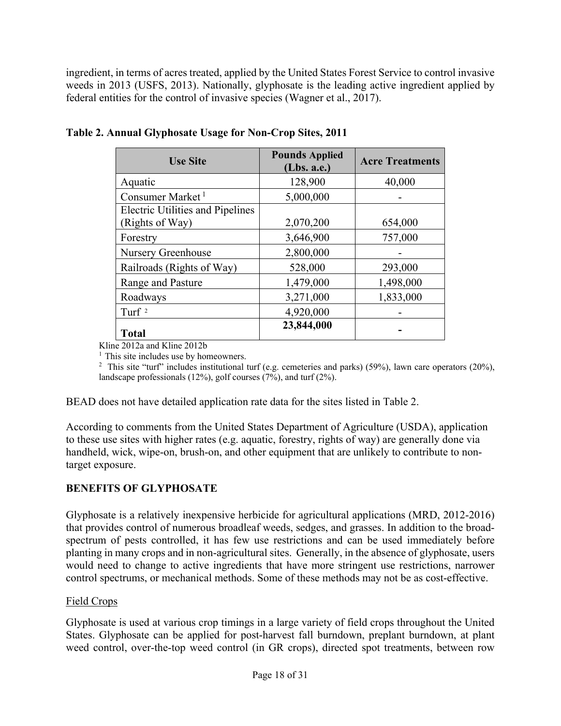ingredient, in terms of acres treated, applied by the United States Forest Service to control invasive weeds in 2013 (USFS, 2013). Nationally, glyphosate is the leading active ingredient applied by federal entities for the control of invasive species (Wagner et al., 2017).

| <b>Use Site</b>                         | <b>Pounds Applied</b><br>(Lbs. a.e.) | <b>Acre Treatments</b> |
|-----------------------------------------|--------------------------------------|------------------------|
| Aquatic                                 | 128,900                              | 40,000                 |
| Consumer Market <sup>1</sup>            | 5,000,000                            |                        |
| <b>Electric Utilities and Pipelines</b> |                                      |                        |
| (Rights of Way)<br>Forestry             | 2,070,200<br>3,646,900               | 654,000<br>757,000     |
| Nursery Greenhouse                      | 2,800,000                            |                        |
| Railroads (Rights of Way)               | 528,000                              | 293,000                |
| Range and Pasture                       | 1,479,000                            | 1,498,000              |
| Roadways                                | 3,271,000                            | 1,833,000              |
| Turf $2$                                | 4,920,000                            |                        |
| <b>Total</b>                            | 23,844,000                           |                        |

## **Table 2. Annual Glyphosate Usage for Non-Crop Sites, 2011**

Kline 2012a and Kline 2012b <sup>1</sup> This site includes use by homeowners.

<sup>2</sup> This site "turf" includes institutional turf (e.g. cemeteries and parks) (59%), lawn care operators (20%), landscape professionals (12%), golf courses (7%), and turf (2%).

BEAD does not have detailed application rate data for the sites listed in Table 2.

According to comments from the United States Department of Agriculture (USDA), application to these use sites with higher rates (e.g. aquatic, forestry, rights of way) are generally done via handheld, wick, wipe-on, brush-on, and other equipment that are unlikely to contribute to nontarget exposure.

## **BENEFITS OF GLYPHOSATE**

 planting in many crops and in non-agricultural sites. Generally, in the absence of glyphosate, users Glyphosate is a relatively inexpensive herbicide for agricultural applications (MRD, 2012-2016) that provides control of numerous broadleaf weeds, sedges, and grasses. In addition to the broadspectrum of pests controlled, it has few use restrictions and can be used immediately before would need to change to active ingredients that have more stringent use restrictions, narrower control spectrums, or mechanical methods. Some of these methods may not be as cost-effective.

## Field Crops

Glyphosate is used at various crop timings in a large variety of field crops throughout the United States. Glyphosate can be applied for post-harvest fall burndown, preplant burndown, at plant weed control, over-the-top weed control (in GR crops), directed spot treatments, between row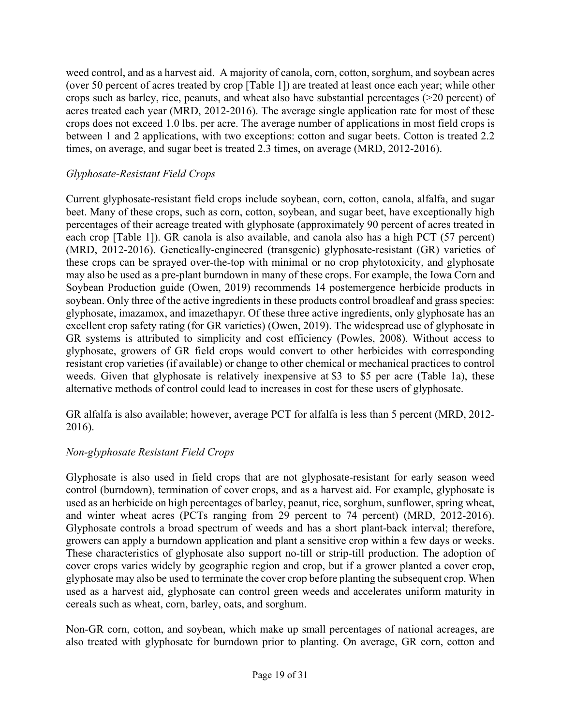weed control, and as a harvest aid. A majority of canola, corn, cotton, sorghum, and soybean acres (over 50 percent of acres treated by crop [Table 1]) are treated at least once each year; while other crops such as barley, rice, peanuts, and wheat also have substantial percentages (>20 percent) of acres treated each year (MRD, 2012-2016). The average single application rate for most of these crops does not exceed 1.0 lbs. per acre. The average number of applications in most field crops is between 1 and 2 applications, with two exceptions: cotton and sugar beets. Cotton is treated 2.2 times, on average, and sugar beet is treated 2.3 times, on average (MRD, 2012-2016).

## *Glyphosate-Resistant Field Crops*

Current glyphosate-resistant field crops include soybean, corn, cotton, canola, alfalfa, and sugar beet. Many of these crops, such as corn, cotton, soybean, and sugar beet, have exceptionally high percentages of their acreage treated with glyphosate (approximately 90 percent of acres treated in each crop [Table 1]). GR canola is also available, and canola also has a high PCT (57 percent) (MRD, 2012-2016). Genetically-engineered (transgenic) glyphosate-resistant (GR) varieties of these crops can be sprayed over-the-top with minimal or no crop phytotoxicity, and glyphosate may also be used as a pre-plant burndown in many of these crops. For example, the Iowa Corn and Soybean Production guide (Owen, 2019) recommends 14 postemergence herbicide products in soybean. Only three of the active ingredients in these products control broadleaf and grass species: glyphosate, imazamox, and imazethapyr. Of these three active ingredients, only glyphosate has an excellent crop safety rating (for GR varieties) (Owen, 2019). The widespread use of glyphosate in GR systems is attributed to simplicity and cost efficiency (Powles, 2008). Without access to glyphosate, growers of GR field crops would convert to other herbicides with corresponding resistant crop varieties (if available) or change to other chemical or mechanical practices to control weeds. Given that glyphosate is relatively inexpensive at \$3 to \$5 per acre (Table 1a), these alternative methods of control could lead to increases in cost for these users of glyphosate.

GR alfalfa is also available; however, average PCT for alfalfa is less than 5 percent (MRD, 2012- 2016).

## *Non-glyphosate Resistant Field Crops*

 growers can apply a burndown application and plant a sensitive crop within a few days or weeks. cover crops varies widely by geographic region and crop, but if a grower planted a cover crop, Glyphosate is also used in field crops that are not glyphosate-resistant for early season weed control (burndown), termination of cover crops, and as a harvest aid. For example, glyphosate is used as an herbicide on high percentages of barley, peanut, rice, sorghum, sunflower, spring wheat, and winter wheat acres (PCTs ranging from 29 percent to 74 percent) (MRD, 2012-2016). Glyphosate controls a broad spectrum of weeds and has a short plant-back interval; therefore, These characteristics of glyphosate also support no-till or strip-till production. The adoption of glyphosate may also be used to terminate the cover crop before planting the subsequent crop. When used as a harvest aid, glyphosate can control green weeds and accelerates uniform maturity in cereals such as wheat, corn, barley, oats, and sorghum.

Non-GR corn, cotton, and soybean, which make up small percentages of national acreages, are also treated with glyphosate for burndown prior to planting. On average, GR corn, cotton and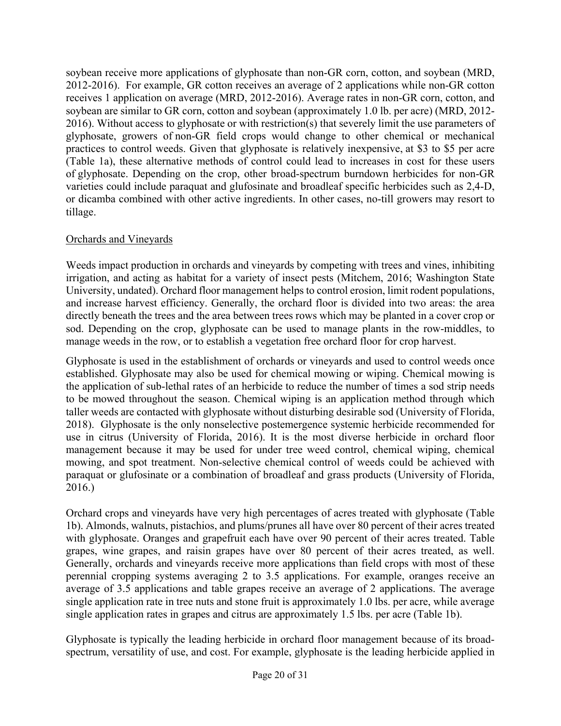2012-2016). For example, GR cotton receives an average of 2 applications while non-GR cotton 2016). Without access to glyphosate or with restriction(s) that severely limit the use parameters of soybean receive more applications of glyphosate than non-GR corn, cotton, and soybean (MRD, receives 1 application on average (MRD, 2012-2016). Average rates in non-GR corn, cotton, and soybean are similar to GR corn, cotton and soybean (approximately 1.0 lb. per acre) (MRD, 2012 glyphosate, growers of non-GR field crops would change to other chemical or mechanical practices to control weeds. Given that glyphosate is relatively inexpensive, at \$3 to \$5 per acre (Table 1a), these alternative methods of control could lead to increases in cost for these users of glyphosate. Depending on the crop, other broad-spectrum burndown herbicides for non-GR varieties could include paraquat and glufosinate and broadleaf specific herbicides such as 2,4-D, or dicamba combined with other active ingredients. In other cases, no-till growers may resort to tillage.

## Orchards and Vineyards

 irrigation, and acting as habitat for a variety of insect pests (Mitchem, 2016; Washington State Weeds impact production in orchards and vineyards by competing with trees and vines, inhibiting University, undated). Orchard floor management helps to control erosion, limit rodent populations, and increase harvest efficiency. Generally, the orchard floor is divided into two areas: the area directly beneath the trees and the area between trees rows which may be planted in a cover crop or sod. Depending on the crop, glyphosate can be used to manage plants in the row-middles, to manage weeds in the row, or to establish a vegetation free orchard floor for crop harvest.

Glyphosate is used in the establishment of orchards or vineyards and used to control weeds once established. Glyphosate may also be used for chemical mowing or wiping. Chemical mowing is the application of sub-lethal rates of an herbicide to reduce the number of times a sod strip needs to be mowed throughout the season. Chemical wiping is an application method through which taller weeds are contacted with glyphosate without disturbing desirable sod (University of Florida, 2018). Glyphosate is the only nonselective postemergence systemic herbicide recommended for use in citrus (University of Florida, 2016). It is the most diverse herbicide in orchard floor management because it may be used for under tree weed control, chemical wiping, chemical mowing, and spot treatment. Non-selective chemical control of weeds could be achieved with paraquat or glufosinate or a combination of broadleaf and grass products (University of Florida, 2016.)

 with glyphosate. Oranges and grapefruit each have over 90 percent of their acres treated. Table Orchard crops and vineyards have very high percentages of acres treated with glyphosate (Table 1b). Almonds, walnuts, pistachios, and plums/prunes all have over 80 percent of their acres treated grapes, wine grapes, and raisin grapes have over 80 percent of their acres treated, as well. Generally, orchards and vineyards receive more applications than field crops with most of these perennial cropping systems averaging 2 to 3.5 applications. For example, oranges receive an average of 3.5 applications and table grapes receive an average of 2 applications. The average single application rate in tree nuts and stone fruit is approximately 1.0 lbs. per acre, while average single application rates in grapes and citrus are approximately 1.5 lbs. per acre (Table 1b).

Glyphosate is typically the leading herbicide in orchard floor management because of its broadspectrum, versatility of use, and cost. For example, glyphosate is the leading herbicide applied in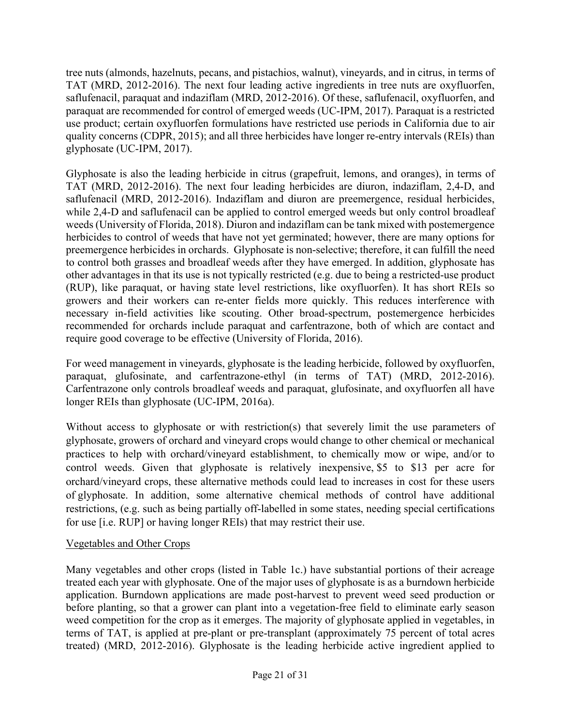tree nuts (almonds, hazelnuts, pecans, and pistachios, walnut), vineyards, and in citrus, in terms of TAT (MRD, 2012-2016). The next four leading active ingredients in tree nuts are oxyfluorfen, saflufenacil, paraquat and indaziflam (MRD, 2012-2016). Of these, saflufenacil, oxyfluorfen, and paraquat are recommended for control of emerged weeds (UC-IPM, 2017). Paraquat is a restricted use product; certain oxyfluorfen formulations have restricted use periods in California due to air quality concerns (CDPR, 2015); and all three herbicides have longer re-entry intervals (REIs) than glyphosate (UC-IPM, 2017).

Glyphosate is also the leading herbicide in citrus (grapefruit, lemons, and oranges), in terms of TAT (MRD, 2012-2016). The next four leading herbicides are diuron, indaziflam, 2,4-D, and saflufenacil (MRD, 2012-2016). Indaziflam and diuron are preemergence, residual herbicides, while 2,4-D and saflufenacil can be applied to control emerged weeds but only control broadleaf weeds (University of Florida, 2018). Diuron and indaziflam can be tank mixed with postemergence herbicides to control of weeds that have not yet germinated; however, there are many options for preemergence herbicides in orchards. Glyphosate is non-selective; therefore, it can fulfill the need to control both grasses and broadleaf weeds after they have emerged. In addition, glyphosate has other advantages in that its use is not typically restricted (e.g. due to being a restricted-use product (RUP), like paraquat, or having state level restrictions, like oxyfluorfen). It has short REIs so growers and their workers can re-enter fields more quickly. This reduces interference with necessary in-field activities like scouting. Other broad-spectrum, postemergence herbicides recommended for orchards include paraquat and carfentrazone, both of which are contact and require good coverage to be effective (University of Florida, 2016).

For weed management in vineyards, glyphosate is the leading herbicide, followed by oxyfluorfen, paraquat, glufosinate, and carfentrazone-ethyl (in terms of TAT) (MRD, 2012-2016). Carfentrazone only controls broadleaf weeds and paraquat, glufosinate, and oxyfluorfen all have longer REIs than glyphosate (UC-IPM, 2016a).

Without access to glyphosate or with restriction(s) that severely limit the use parameters of glyphosate, growers of orchard and vineyard crops would change to other chemical or mechanical practices to help with orchard/vineyard establishment, to chemically mow or wipe, and/or to control weeds. Given that glyphosate is relatively inexpensive, \$5 to \$13 per acre for orchard/vineyard crops, these alternative methods could lead to increases in cost for these users of glyphosate. In addition, some alternative chemical methods of control have additional restrictions, (e.g. such as being partially off-labelled in some states, needing special certifications for use [i.e. RUP] or having longer REIs) that may restrict their use.

## Vegetables and Other Crops

 Many vegetables and other crops (listed in Table 1c.) have substantial portions of their acreage terms of TAT, is applied at pre-plant or pre-transplant (approximately 75 percent of total acres treated each year with glyphosate. One of the major uses of glyphosate is as a burndown herbicide application. Burndown applications are made post-harvest to prevent weed seed production or before planting, so that a grower can plant into a vegetation-free field to eliminate early season weed competition for the crop as it emerges. The majority of glyphosate applied in vegetables, in treated) (MRD, 2012-2016). Glyphosate is the leading herbicide active ingredient applied to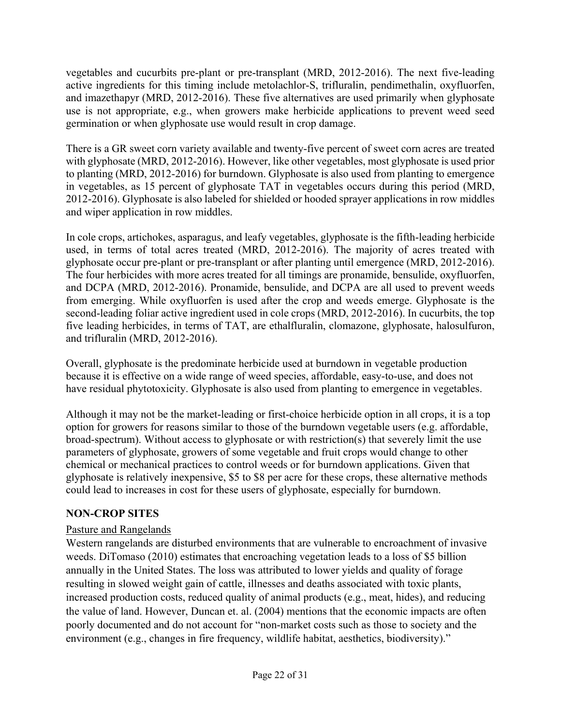germination or when glyphosate use would result in crop damage. vegetables and cucurbits pre-plant or pre-transplant (MRD, 2012-2016). The next five-leading active ingredients for this timing include metolachlor-S, trifluralin, pendimethalin, oxyfluorfen, and imazethapyr (MRD, 2012-2016). These five alternatives are used primarily when glyphosate use is not appropriate, e.g., when growers make herbicide applications to prevent weed seed

There is a GR sweet corn variety available and twenty-five percent of sweet corn acres are treated with glyphosate (MRD, 2012-2016). However, like other vegetables, most glyphosate is used prior to planting (MRD, 2012-2016) for burndown. Glyphosate is also used from planting to emergence in vegetables, as 15 percent of glyphosate TAT in vegetables occurs during this period (MRD, 2012-2016). Glyphosate is also labeled for shielded or hooded sprayer applications in row middles and wiper application in row middles.

 In cole crops, artichokes, asparagus, and leafy vegetables, glyphosate is the fifth-leading herbicide used, in terms of total acres treated (MRD, 2012-2016). The majority of acres treated with glyphosate occur pre-plant or pre-transplant or after planting until emergence (MRD, 2012-2016). The four herbicides with more acres treated for all timings are pronamide, bensulide, oxyfluorfen, and DCPA (MRD, 2012-2016). Pronamide, bensulide, and DCPA are all used to prevent weeds from emerging. While oxyfluorfen is used after the crop and weeds emerge. Glyphosate is the second-leading foliar active ingredient used in cole crops (MRD, 2012-2016). In cucurbits, the top five leading herbicides, in terms of TAT, are ethalfluralin, clomazone, glyphosate, halosulfuron, and trifluralin (MRD, 2012-2016).

Overall, glyphosate is the predominate herbicide used at burndown in vegetable production because it is effective on a wide range of weed species, affordable, easy-to-use, and does not have residual phytotoxicity. Glyphosate is also used from planting to emergence in vegetables.

Although it may not be the market-leading or first-choice herbicide option in all crops, it is a top option for growers for reasons similar to those of the burndown vegetable users (e.g. affordable, broad-spectrum). Without access to glyphosate or with restriction(s) that severely limit the use parameters of glyphosate, growers of some vegetable and fruit crops would change to other chemical or mechanical practices to control weeds or for burndown applications. Given that glyphosate is relatively inexpensive, \$5 to \$8 per acre for these crops, these alternative methods could lead to increases in cost for these users of glyphosate, especially for burndown.

# **NON-CROP SITES**

# Pasture and Rangelands

Western rangelands are disturbed environments that are vulnerable to encroachment of invasive weeds. DiTomaso (2010) estimates that encroaching vegetation leads to a loss of \$5 billion annually in the United States. The loss was attributed to lower yields and quality of forage resulting in slowed weight gain of cattle, illnesses and deaths associated with toxic plants, increased production costs, reduced quality of animal products (e.g., meat, hides), and reducing the value of land. However, Duncan et. al. (2004) mentions that the economic impacts are often poorly documented and do not account for "non-market costs such as those to society and the environment (e.g., changes in fire frequency, wildlife habitat, aesthetics, biodiversity)."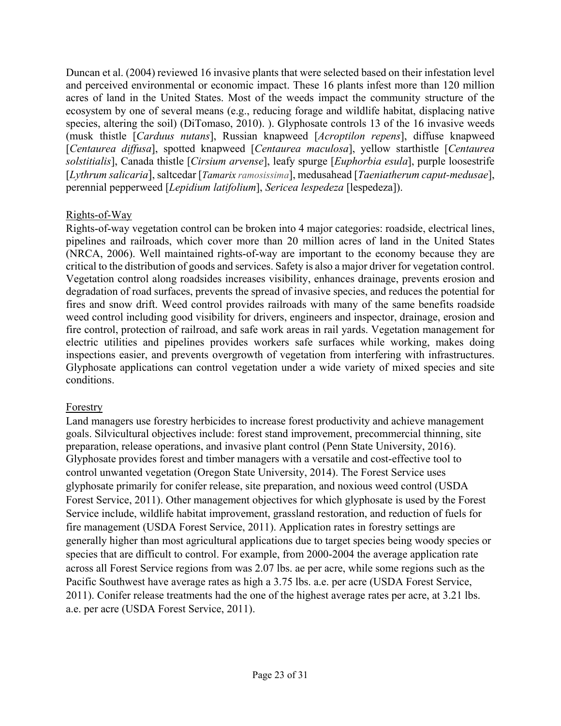acres of land in the United States. Most of the weeds impact the community structure of the Duncan et al. (2004) reviewed 16 invasive plants that were selected based on their infestation level and perceived environmental or economic impact. These 16 plants infest more than 120 million ecosystem by one of several means (e.g., reducing forage and wildlife habitat, displacing native species, altering the soil) (DiTomaso, 2010). ). Glyphosate controls 13 of the 16 invasive weeds (musk thistle [*Carduus nutans*], Russian knapweed [*Acroptilon repens*], diffuse knapweed [*Centaurea diffusa*], spotted knapweed [*Centaurea maculosa*], yellow starthistle [*Centaurea solstitialis*], Canada thistle [*Cirsium arvense*], leafy spurge [*Euphorbia esula*], purple loosestrife [*Lythrum salicaria*], saltcedar [*Tamarix ramosissima*], medusahead [*Taeniatherum caput-medusae*], perennial pepperweed [*Lepidium latifolium*], *Sericea lespedeza* [lespedeza]).

#### Rights-of-Way

 pipelines and railroads, which cover more than 20 million acres of land in the United States fires and snow drift. Weed control provides railroads with many of the same benefits roadside Rights-of-way vegetation control can be broken into 4 major categories: roadside, electrical lines, (NRCA, 2006). Well maintained rights-of-way are important to the economy because they are critical to the distribution of goods and services. Safety is also a major driver for vegetation control. Vegetation control along roadsides increases visibility, enhances drainage, prevents erosion and degradation of road surfaces, prevents the spread of invasive species, and reduces the potential for weed control including good visibility for drivers, engineers and inspector, drainage, erosion and fire control, protection of railroad, and safe work areas in rail yards. Vegetation management for electric utilities and pipelines provides workers safe surfaces while working, makes doing inspections easier, and prevents overgrowth of vegetation from interfering with infrastructures. Glyphosate applications can control vegetation under a wide variety of mixed species and site conditions.

## **Forestry**

Land managers use forestry herbicides to increase forest productivity and achieve management goals. Silvicultural objectives include: forest stand improvement, precommercial thinning, site preparation, release operations, and invasive plant control (Penn State University, 2016). Glyphosate provides forest and timber managers with a versatile and cost-effective tool to control unwanted vegetation (Oregon State University, 2014). The Forest Service uses glyphosate primarily for conifer release, site preparation, and noxious weed control (USDA Forest Service, 2011). Other management objectives for which glyphosate is used by the Forest Service include, wildlife habitat improvement, grassland restoration, and reduction of fuels for fire management (USDA Forest Service, 2011). Application rates in forestry settings are generally higher than most agricultural applications due to target species being woody species or species that are difficult to control. For example, from 2000-2004 the average application rate across all Forest Service regions from was 2.07 lbs. ae per acre, while some regions such as the Pacific Southwest have average rates as high a 3.75 lbs. a.e. per acre (USDA Forest Service, 2011). Conifer release treatments had the one of the highest average rates per acre, at 3.21 lbs. a.e. per acre (USDA Forest Service, 2011).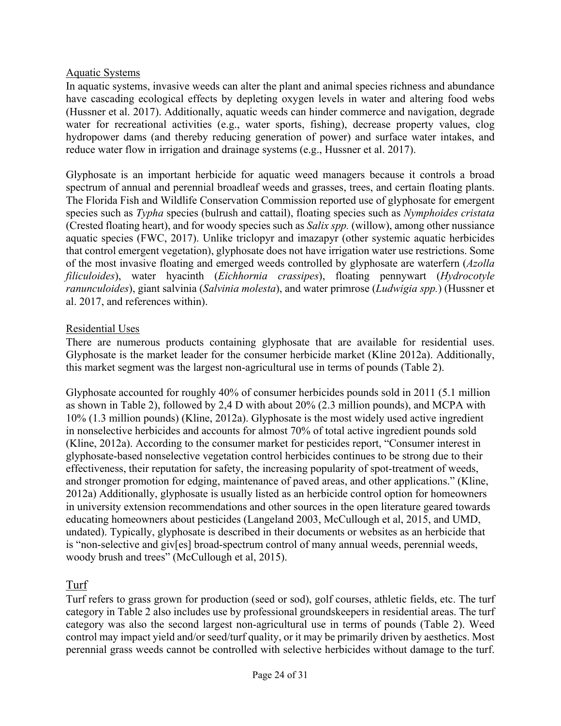#### Aquatic Systems

In aquatic systems, invasive weeds can alter the plant and animal species richness and abundance have cascading ecological effects by depleting oxygen levels in water and altering food webs (Hussner et al. 2017). Additionally, aquatic weeds can hinder commerce and navigation, degrade water for recreational activities (e.g., water sports, fishing), decrease property values, clog hydropower dams (and thereby reducing generation of power) and surface water intakes, and reduce water flow in irrigation and drainage systems (e.g., Hussner et al. 2017).

Glyphosate is an important herbicide for aquatic weed managers because it controls a broad spectrum of annual and perennial broadleaf weeds and grasses, trees, and certain floating plants. The Florida Fish and Wildlife Conservation Commission reported use of glyphosate for emergent species such as *Typha* species (bulrush and cattail), floating species such as *Nymphoides cristata*  (Crested floating heart), and for woody species such as *Salix spp.* (willow), among other nussiance aquatic species (FWC, 2017). Unlike triclopyr and imazapyr (other systemic aquatic herbicides that control emergent vegetation), glyphosate does not have irrigation water use restrictions. Some of the most invasive floating and emerged weeds controlled by glyphosate are waterfern (*Azolla filiculoides*), water hyacinth (*Eichhornia crassipes*), floating pennywart (*Hydrocotyle ranunculoides*), giant salvinia (*Salvinia molesta*), and water primrose (*Ludwigia spp.*) (Hussner et al. 2017, and references within).

#### Residential Uses

There are numerous products containing glyphosate that are available for residential uses. Glyphosate is the market leader for the consumer herbicide market (Kline 2012a). Additionally, this market segment was the largest non-agricultural use in terms of pounds (Table 2).

Glyphosate accounted for roughly 40% of consumer herbicides pounds sold in 2011 (5.1 million as shown in Table 2), followed by 2,4 D with about 20% (2.3 million pounds), and MCPA with 10% (1.3 million pounds) (Kline, 2012a). Glyphosate is the most widely used active ingredient in nonselective herbicides and accounts for almost 70% of total active ingredient pounds sold (Kline, 2012a). According to the consumer market for pesticides report, "Consumer interest in glyphosate-based nonselective vegetation control herbicides continues to be strong due to their effectiveness, their reputation for safety, the increasing popularity of spot-treatment of weeds, and stronger promotion for edging, maintenance of paved areas, and other applications." (Kline, 2012a) Additionally, glyphosate is usually listed as an herbicide control option for homeowners in university extension recommendations and other sources in the open literature geared towards educating homeowners about pesticides (Langeland 2003, McCullough et al, 2015, and UMD, undated). Typically, glyphosate is described in their documents or websites as an herbicide that is "non-selective and giv[es] broad-spectrum control of many annual weeds, perennial weeds, woody brush and trees" (McCullough et al, 2015).

## Turf

 Turf refers to grass grown for production (seed or sod), golf courses, athletic fields, etc. The turf category in Table 2 also includes use by professional groundskeepers in residential areas. The turf category was also the second largest non-agricultural use in terms of pounds (Table 2). Weed control may impact yield and/or seed/turf quality, or it may be primarily driven by aesthetics. Most perennial grass weeds cannot be controlled with selective herbicides without damage to the turf.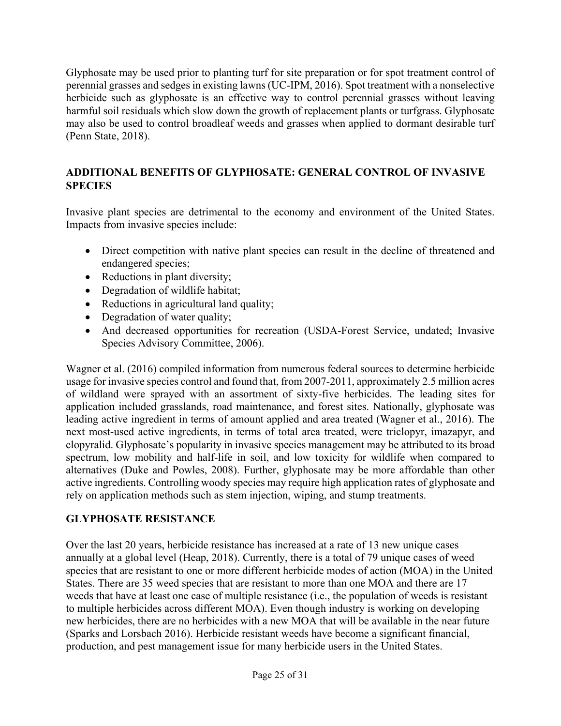Glyphosate may be used prior to planting turf for site preparation or for spot treatment control of perennial grasses and sedges in existing lawns (UC-IPM, 2016). Spot treatment with a nonselective herbicide such as glyphosate is an effective way to control perennial grasses without leaving harmful soil residuals which slow down the growth of replacement plants or turfgrass. Glyphosate may also be used to control broadleaf weeds and grasses when applied to dormant desirable turf (Penn State, 2018).

# **ADDITIONAL BENEFITS OF GLYPHOSATE: GENERAL CONTROL OF INVASIVE SPECIES**

Invasive plant species are detrimental to the economy and environment of the United States. Impacts from invasive species include:

- Direct competition with native plant species can result in the decline of threatened and endangered species;
- Reductions in plant diversity;
- Degradation of wildlife habitat;
- Reductions in agricultural land quality;
- Degradation of water quality;
- And decreased opportunities for recreation (USDA-Forest Service, undated; Invasive Species Advisory Committee, 2006).

 of wildland were sprayed with an assortment of sixty-five herbicides. The leading sites for clopyralid. Glyphosate's popularity in invasive species management may be attributed to its broad spectrum, low mobility and half-life in soil, and low toxicity for wildlife when compared to Wagner et al. (2016) compiled information from numerous federal sources to determine herbicide usage for invasive species control and found that, from 2007-2011, approximately 2.5 million acres application included grasslands, road maintenance, and forest sites. Nationally, glyphosate was leading active ingredient in terms of amount applied and area treated (Wagner et al., 2016). The next most-used active ingredients, in terms of total area treated, were triclopyr, imazapyr, and alternatives (Duke and Powles, 2008). Further, glyphosate may be more affordable than other active ingredients. Controlling woody species may require high application rates of glyphosate and rely on application methods such as stem injection, wiping, and stump treatments.

## **GLYPHOSATE RESISTANCE**

Over the last 20 years, herbicide resistance has increased at a rate of 13 new unique cases annually at a global level (Heap, 2018). Currently, there is a total of 79 unique cases of weed species that are resistant to one or more different herbicide modes of action (MOA) in the United States. There are 35 weed species that are resistant to more than one MOA and there are 17 weeds that have at least one case of multiple resistance (i.e., the population of weeds is resistant to multiple herbicides across different MOA). Even though industry is working on developing new herbicides, there are no herbicides with a new MOA that will be available in the near future (Sparks and Lorsbach 2016). Herbicide resistant weeds have become a significant financial, production, and pest management issue for many herbicide users in the United States.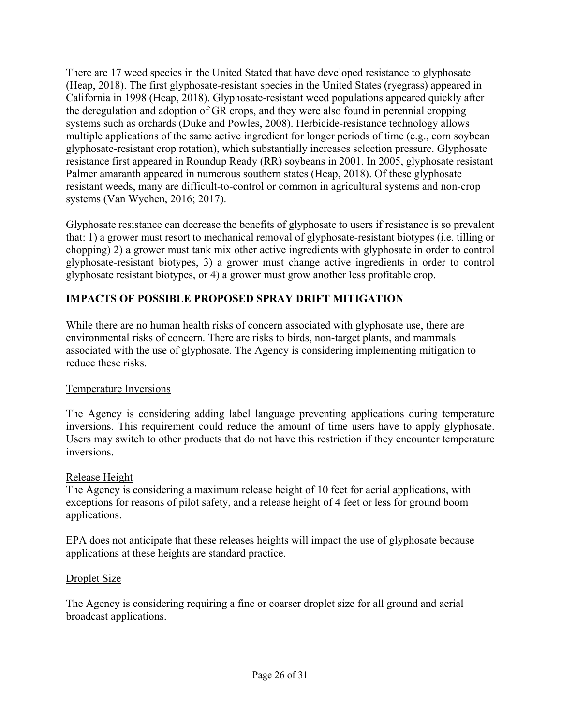There are 17 weed species in the United Stated that have developed resistance to glyphosate (Heap, 2018). The first glyphosate-resistant species in the United States (ryegrass) appeared in California in 1998 (Heap, 2018). Glyphosate-resistant weed populations appeared quickly after the deregulation and adoption of GR crops, and they were also found in perennial cropping systems such as orchards (Duke and Powles, 2008). Herbicide-resistance technology allows multiple applications of the same active ingredient for longer periods of time (e.g., corn soybean glyphosate-resistant crop rotation), which substantially increases selection pressure. Glyphosate resistance first appeared in Roundup Ready (RR) soybeans in 2001. In 2005, glyphosate resistant Palmer amaranth appeared in numerous southern states (Heap, 2018). Of these glyphosate resistant weeds, many are difficult-to-control or common in agricultural systems and non-crop systems (Van Wychen, 2016; 2017).

Glyphosate resistance can decrease the benefits of glyphosate to users if resistance is so prevalent that: 1) a grower must resort to mechanical removal of glyphosate-resistant biotypes (i.e. tilling or chopping) 2) a grower must tank mix other active ingredients with glyphosate in order to control glyphosate-resistant biotypes, 3) a grower must change active ingredients in order to control glyphosate resistant biotypes, or 4) a grower must grow another less profitable crop.

## **IMPACTS OF POSSIBLE PROPOSED SPRAY DRIFT MITIGATION**

While there are no human health risks of concern associated with glyphosate use, there are environmental risks of concern. There are risks to birds, non-target plants, and mammals associated with the use of glyphosate. The Agency is considering implementing mitigation to reduce these risks.

#### Temperature Inversions

The Agency is considering adding label language preventing applications during temperature inversions. This requirement could reduce the amount of time users have to apply glyphosate. Users may switch to other products that do not have this restriction if they encounter temperature inversions.

#### Release Height

 applications. The Agency is considering a maximum release height of 10 feet for aerial applications, with exceptions for reasons of pilot safety, and a release height of 4 feet or less for ground boom

EPA does not anticipate that these releases heights will impact the use of glyphosate because applications at these heights are standard practice.

#### Droplet Size

The Agency is considering requiring a fine or coarser droplet size for all ground and aerial broadcast applications.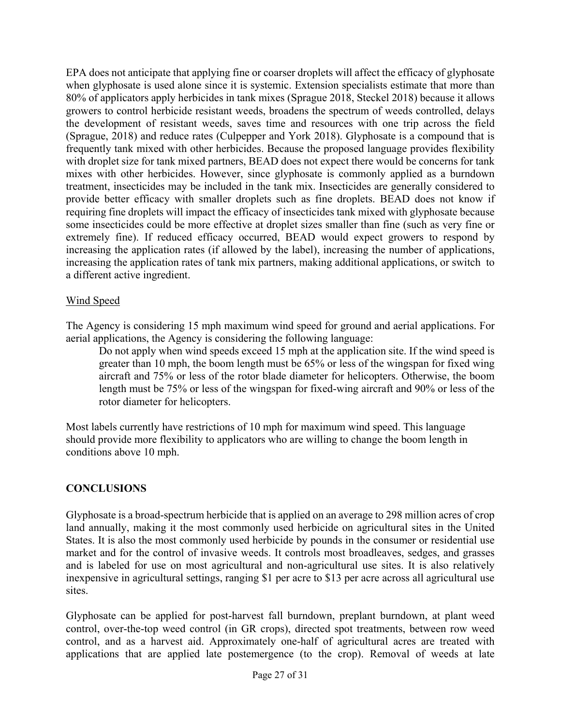increasing the application rates (if allowed by the label), increasing the number of applications, increasing the application rates of tank mix partners, making additional applications, or switch to EPA does not anticipate that applying fine or coarser droplets will affect the efficacy of glyphosate when glyphosate is used alone since it is systemic. Extension specialists estimate that more than 80% of applicators apply herbicides in tank mixes (Sprague 2018, Steckel 2018) because it allows growers to control herbicide resistant weeds, broadens the spectrum of weeds controlled, delays the development of resistant weeds, saves time and resources with one trip across the field (Sprague, 2018) and reduce rates (Culpepper and York 2018). Glyphosate is a compound that is frequently tank mixed with other herbicides. Because the proposed language provides flexibility with droplet size for tank mixed partners, BEAD does not expect there would be concerns for tank mixes with other herbicides. However, since glyphosate is commonly applied as a burndown treatment, insecticides may be included in the tank mix. Insecticides are generally considered to provide better efficacy with smaller droplets such as fine droplets. BEAD does not know if requiring fine droplets will impact the efficacy of insecticides tank mixed with glyphosate because some insecticides could be more effective at droplet sizes smaller than fine (such as very fine or extremely fine). If reduced efficacy occurred, BEAD would expect growers to respond by a different active ingredient.

#### Wind Speed

The Agency is considering 15 mph maximum wind speed for ground and aerial applications. For aerial applications, the Agency is considering the following language:

 aircraft and 75% or less of the rotor blade diameter for helicopters. Otherwise, the boom Do not apply when wind speeds exceed 15 mph at the application site. If the wind speed is greater than 10 mph, the boom length must be 65% or less of the wingspan for fixed wing length must be 75% or less of the wingspan for fixed-wing aircraft and 90% or less of the rotor diameter for helicopters.

Most labels currently have restrictions of 10 mph for maximum wind speed. This language should provide more flexibility to applicators who are willing to change the boom length in conditions above 10 mph.

#### **CONCLUSIONS**

 Glyphosate is a broad-spectrum herbicide that is applied on an average to 298 million acres of crop land annually, making it the most commonly used herbicide on agricultural sites in the United States. It is also the most commonly used herbicide by pounds in the consumer or residential use market and for the control of invasive weeds. It controls most broadleaves, sedges, and grasses and is labeled for use on most agricultural and non-agricultural use sites. It is also relatively inexpensive in agricultural settings, ranging \$1 per acre to \$13 per acre across all agricultural use sites.

Glyphosate can be applied for post-harvest fall burndown, preplant burndown, at plant weed control, over-the-top weed control (in GR crops), directed spot treatments, between row weed control, and as a harvest aid. Approximately one-half of agricultural acres are treated with applications that are applied late postemergence (to the crop). Removal of weeds at late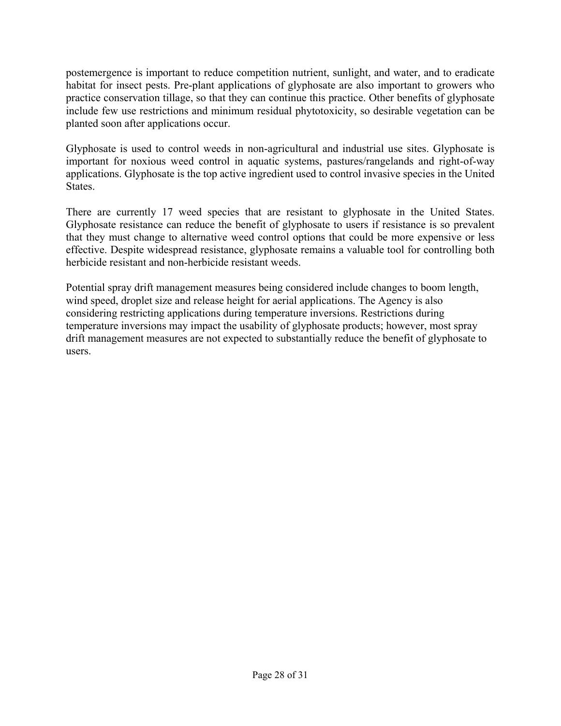postemergence is important to reduce competition nutrient, sunlight, and water, and to eradicate habitat for insect pests. Pre-plant applications of glyphosate are also important to growers who practice conservation tillage, so that they can continue this practice. Other benefits of glyphosate include few use restrictions and minimum residual phytotoxicity, so desirable vegetation can be planted soon after applications occur.

Glyphosate is used to control weeds in non-agricultural and industrial use sites. Glyphosate is important for noxious weed control in aquatic systems, pastures/rangelands and right-of-way applications. Glyphosate is the top active ingredient used to control invasive species in the United States.

There are currently 17 weed species that are resistant to glyphosate in the United States. Glyphosate resistance can reduce the benefit of glyphosate to users if resistance is so prevalent that they must change to alternative weed control options that could be more expensive or less effective. Despite widespread resistance, glyphosate remains a valuable tool for controlling both herbicide resistant and non-herbicide resistant weeds.

Potential spray drift management measures being considered include changes to boom length, wind speed, droplet size and release height for aerial applications. The Agency is also considering restricting applications during temperature inversions. Restrictions during temperature inversions may impact the usability of glyphosate products; however, most spray drift management measures are not expected to substantially reduce the benefit of glyphosate to users.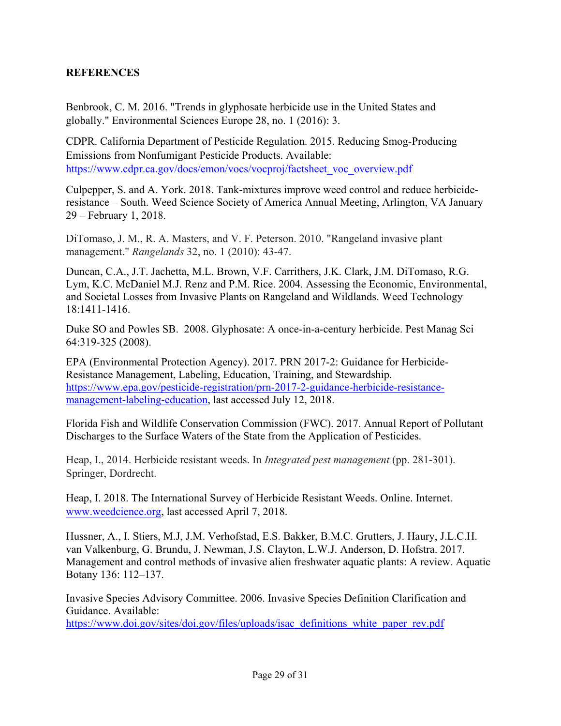#### **REFERENCES**

Benbrook, C. M. 2016. "Trends in glyphosate herbicide use in the United States and globally." Environmental Sciences Europe 28, no. 1 (2016): 3.

CDPR. California Department of Pesticide Regulation. 2015. Reducing Smog-Producing Emissions from Nonfumigant Pesticide Products. Available: [https://www.cdpr.ca.gov/docs/emon/vocs/vocproj/factsheet\\_voc\\_overview.pdf](https://www.cdpr.ca.gov/docs/emon/vocs/vocproj/factsheet_voc_overview.pdf)

Culpepper, S. and A. York. 2018. Tank-mixtures improve weed control and reduce herbicideresistance – South. Weed Science Society of America Annual Meeting, Arlington, VA January 29 – February 1, 2018.

DiTomaso, J. M., R. A. Masters, and V. F. Peterson. 2010. "Rangeland invasive plant management." *Rangelands* 32, no. 1 (2010): 43-47.

Duncan, C.A., J.T. Jachetta, M.L. Brown, V.F. Carrithers, J.K. Clark, J.M. DiTomaso, R.G. Lym, K.C. McDaniel M.J. Renz and P.M. Rice. 2004. Assessing the Economic, Environmental, and Societal Losses from Invasive Plants on Rangeland and Wildlands. Weed Technology 18:1411-1416.

Duke SO and Powles SB. 2008. Glyphosate: A once-in-a-century herbicide. Pest Manag Sci 64:319-325 (2008).

EPA (Environmental Protection Agency). 2017. PRN 2017-2: Guidance for Herbicide-Resistance Management, Labeling, Education, Training, and Stewardship. <https://www.epa.gov/pesticide-registration/prn-2017-2-guidance-herbicide-resistance>management-labeling-education, last accessed July 12, 2018.

Florida Fish and Wildlife Conservation Commission (FWC). 2017. Annual Report of Pollutant Discharges to the Surface Waters of the State from the Application of Pesticides.

Heap, I., 2014. Herbicide resistant weeds. In *Integrated pest management* (pp. 281-301). Springer, Dordrecht.

Heap, I. 2018. The International Survey of Herbicide Resistant Weeds. Online. Internet. [www.weedcience.org,](www.weedcience.org) last accessed April 7, 2018.

Hussner, A., I. Stiers, M.J, J.M. Verhofstad, E.S. Bakker, B.M.C. Grutters, J. Haury, J.L.C.H. van Valkenburg, G. Brundu, J. Newman, J.S. Clayton, L.W.J. Anderson, D. Hofstra. 2017. Management and control methods of invasive alien freshwater aquatic plants: A review. Aquatic Botany 136: 112–137.

Invasive Species Advisory Committee. 2006. Invasive Species Definition Clarification and Guidance. Available:

[https://www.doi.gov/sites/doi.gov/files/uploads/isac\\_definitions\\_white\\_paper\\_rev.pdf](https://www.doi.gov/sites/doi.gov/files/uploads/isac_definitions_white_paper_rev.pdf)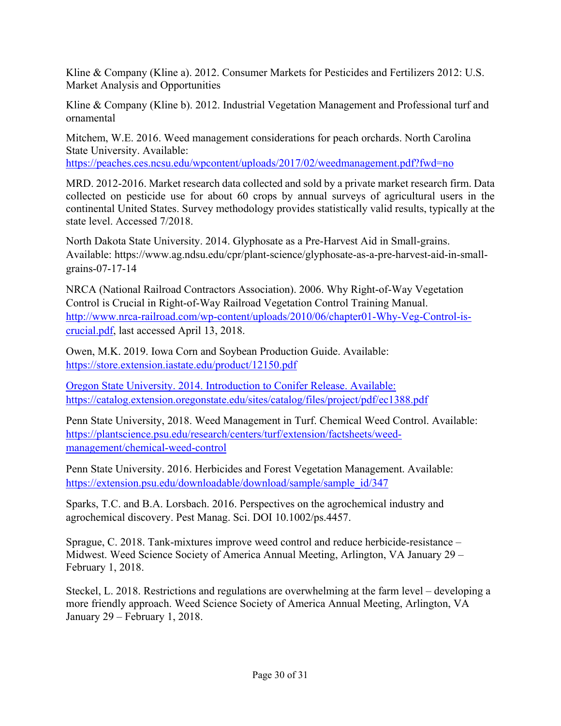Kline & Company (Kline a). 2012. Consumer Markets for Pesticides and Fertilizers 2012: U.S. Market Analysis and Opportunities

Kline & Company (Kline b). 2012. Industrial Vegetation Management and Professional turf and ornamental

Mitchem, W.E. 2016. Weed management considerations for peach orchards. North Carolina State University. Available: <https://peaches.ces.ncsu.edu/wpcontent/uploads/2017/02/weedmanagement.pdf?fwd=no>

 MRD. 2012-2016. Market research data collected and sold by a private market research firm. Data collected on pesticide use for about 60 crops by annual surveys of agricultural users in the continental United States. Survey methodology provides statistically valid results, typically at the state level. Accessed 7/2018.

North Dakota State University. 2014. Glyphosate as a Pre-Harvest Aid in Small-grains. Available:<https://www.ag.ndsu.edu/cpr/plant-science/glyphosate-as-a-pre-harvest-aid-in-small>grains-07-17-14

NRCA (National Railroad Contractors Association). 2006. Why Right-of-Way Vegetation Control is Crucial in Right-of-Way Railroad Vegetation Control Training Manual. <http://www.nrca-railroad.com/wp-content/uploads/2010/06/chapter01-Why-Veg-Control-is>crucial.pdf, last accessed April 13, 2018.

Owen, M.K. 2019. Iowa Corn and Soybean Production Guide. Available: <https://store.extension.iastate.edu/product/12150.pdf>

Oregon State University. 2014. Introduction to Conifer Release. Available: <https://catalog.extension.oregonstate.edu/sites/catalog/files/project/pdf/ec1388.pdf>

Penn State University, 2018. Weed Management in Turf. Chemical Weed Control. Available: <https://plantscience.psu.edu/research/centers/turf/extension/factsheets/weed>management/chemical-weed-control

Penn State University. 2016. Herbicides and Forest Vegetation Management. Available: [https://extension.psu.edu/downloadable/download/sample/sample\\_id/347](https://extension.psu.edu/downloadable/download/sample/sample_id/347) 

Sparks, T.C. and B.A. Lorsbach. 2016. Perspectives on the agrochemical industry and agrochemical discovery. Pest Manag. Sci. DOI 10.1002/ps.4457.

Sprague, C. 2018. Tank-mixtures improve weed control and reduce herbicide-resistance – Midwest. Weed Science Society of America Annual Meeting, Arlington, VA January 29 – February 1, 2018.

Steckel, L. 2018. Restrictions and regulations are overwhelming at the farm level – developing a more friendly approach. Weed Science Society of America Annual Meeting, Arlington, VA January 29 – February 1, 2018.